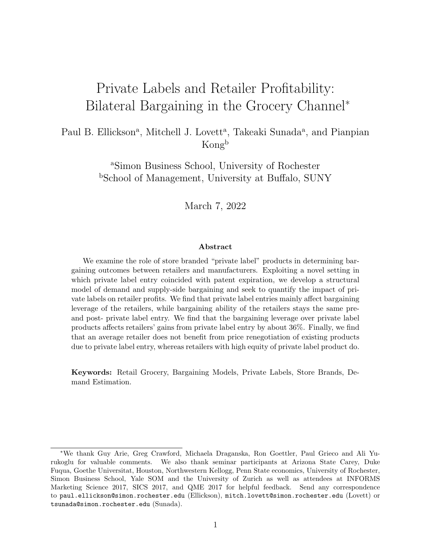# Private Labels and Retailer Profitability: Bilateral Bargaining in the Grocery Channel<sup>∗</sup>

### Paul B. Ellickson<sup>a</sup>, Mitchell J. Lovett<sup>a</sup>, Takeaki Sunada<sup>a</sup>, and Pianpian Kong<sup>b</sup>

<sup>a</sup>Simon Business School, University of Rochester <sup>b</sup>School of Management, University at Buffalo, SUNY

March 7, 2022

#### Abstract

We examine the role of store branded "private label" products in determining bargaining outcomes between retailers and manufacturers. Exploiting a novel setting in which private label entry coincided with patent expiration, we develop a structural model of demand and supply-side bargaining and seek to quantify the impact of private labels on retailer profits. We find that private label entries mainly affect bargaining leverage of the retailers, while bargaining ability of the retailers stays the same preand post- private label entry. We find that the bargaining leverage over private label products affects retailers' gains from private label entry by about 36%. Finally, we find that an average retailer does not benefit from price renegotiation of existing products due to private label entry, whereas retailers with high equity of private label product do.

Keywords: Retail Grocery, Bargaining Models, Private Labels, Store Brands, Demand Estimation.

<sup>∗</sup>We thank Guy Arie, Greg Crawford, Michaela Draganska, Ron Goettler, Paul Grieco and Ali Yurukoglu for valuable comments. We also thank seminar participants at Arizona State Carey, Duke Fuqua, Goethe Universitat, Houston, Northwestern Kellogg, Penn State economics, University of Rochester, Simon Business School, Yale SOM and the University of Zurich as well as attendees at INFORMS Marketing Science 2017, SICS 2017, and QME 2017 for helpful feedback. Send any correspondence to paul.ellickson@simon.rochester.edu (Ellickson), mitch.lovett@simon.rochester.edu (Lovett) or tsunada@simon.rochester.edu (Sunada).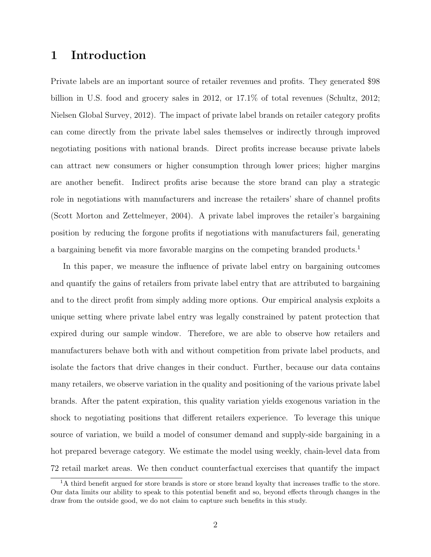# 1 Introduction

Private labels are an important source of retailer revenues and profits. They generated \$98 billion in U.S. food and grocery sales in 2012, or 17.1% of total revenues (Schultz, 2012; Nielsen Global Survey, 2012). The impact of private label brands on retailer category profits can come directly from the private label sales themselves or indirectly through improved negotiating positions with national brands. Direct profits increase because private labels can attract new consumers or higher consumption through lower prices; higher margins are another benefit. Indirect profits arise because the store brand can play a strategic role in negotiations with manufacturers and increase the retailers' share of channel profits (Scott Morton and Zettelmeyer, 2004). A private label improves the retailer's bargaining position by reducing the forgone profits if negotiations with manufacturers fail, generating a bargaining benefit via more favorable margins on the competing branded products.<sup>1</sup>

In this paper, we measure the influence of private label entry on bargaining outcomes and quantify the gains of retailers from private label entry that are attributed to bargaining and to the direct profit from simply adding more options. Our empirical analysis exploits a unique setting where private label entry was legally constrained by patent protection that expired during our sample window. Therefore, we are able to observe how retailers and manufacturers behave both with and without competition from private label products, and isolate the factors that drive changes in their conduct. Further, because our data contains many retailers, we observe variation in the quality and positioning of the various private label brands. After the patent expiration, this quality variation yields exogenous variation in the shock to negotiating positions that different retailers experience. To leverage this unique source of variation, we build a model of consumer demand and supply-side bargaining in a hot prepared beverage category. We estimate the model using weekly, chain-level data from 72 retail market areas. We then conduct counterfactual exercises that quantify the impact

<sup>&</sup>lt;sup>1</sup>A third benefit argued for store brands is store or store brand loyalty that increases traffic to the store. Our data limits our ability to speak to this potential benefit and so, beyond effects through changes in the draw from the outside good, we do not claim to capture such benefits in this study.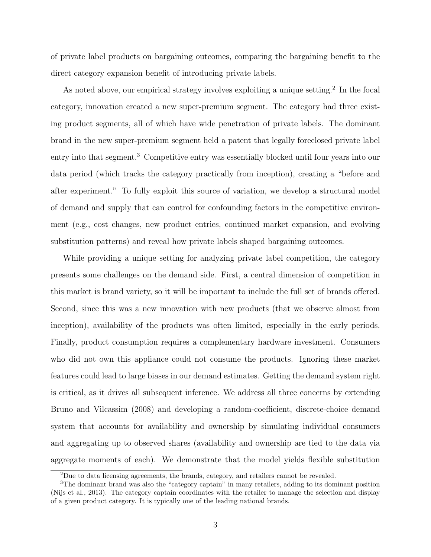of private label products on bargaining outcomes, comparing the bargaining benefit to the direct category expansion benefit of introducing private labels.

As noted above, our empirical strategy involves exploiting a unique setting.<sup>2</sup> In the focal category, innovation created a new super-premium segment. The category had three existing product segments, all of which have wide penetration of private labels. The dominant brand in the new super-premium segment held a patent that legally foreclosed private label entry into that segment.<sup>3</sup> Competitive entry was essentially blocked until four years into our data period (which tracks the category practically from inception), creating a "before and after experiment." To fully exploit this source of variation, we develop a structural model of demand and supply that can control for confounding factors in the competitive environment (e.g., cost changes, new product entries, continued market expansion, and evolving substitution patterns) and reveal how private labels shaped bargaining outcomes.

While providing a unique setting for analyzing private label competition, the category presents some challenges on the demand side. First, a central dimension of competition in this market is brand variety, so it will be important to include the full set of brands offered. Second, since this was a new innovation with new products (that we observe almost from inception), availability of the products was often limited, especially in the early periods. Finally, product consumption requires a complementary hardware investment. Consumers who did not own this appliance could not consume the products. Ignoring these market features could lead to large biases in our demand estimates. Getting the demand system right is critical, as it drives all subsequent inference. We address all three concerns by extending Bruno and Vilcassim (2008) and developing a random-coefficient, discrete-choice demand system that accounts for availability and ownership by simulating individual consumers and aggregating up to observed shares (availability and ownership are tied to the data via aggregate moments of each). We demonstrate that the model yields flexible substitution

<sup>2</sup>Due to data licensing agreements, the brands, category, and retailers cannot be revealed.

<sup>3</sup>The dominant brand was also the "category captain" in many retailers, adding to its dominant position (Nijs et al., 2013). The category captain coordinates with the retailer to manage the selection and display of a given product category. It is typically one of the leading national brands.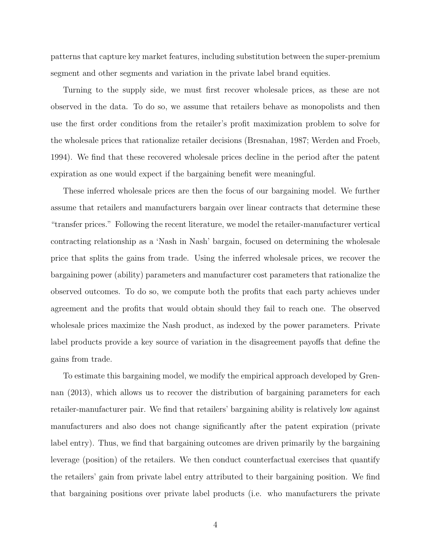patterns that capture key market features, including substitution between the super-premium segment and other segments and variation in the private label brand equities.

Turning to the supply side, we must first recover wholesale prices, as these are not observed in the data. To do so, we assume that retailers behave as monopolists and then use the first order conditions from the retailer's profit maximization problem to solve for the wholesale prices that rationalize retailer decisions (Bresnahan, 1987; Werden and Froeb, 1994). We find that these recovered wholesale prices decline in the period after the patent expiration as one would expect if the bargaining benefit were meaningful.

These inferred wholesale prices are then the focus of our bargaining model. We further assume that retailers and manufacturers bargain over linear contracts that determine these "transfer prices." Following the recent literature, we model the retailer-manufacturer vertical contracting relationship as a 'Nash in Nash' bargain, focused on determining the wholesale price that splits the gains from trade. Using the inferred wholesale prices, we recover the bargaining power (ability) parameters and manufacturer cost parameters that rationalize the observed outcomes. To do so, we compute both the profits that each party achieves under agreement and the profits that would obtain should they fail to reach one. The observed wholesale prices maximize the Nash product, as indexed by the power parameters. Private label products provide a key source of variation in the disagreement payoffs that define the gains from trade.

To estimate this bargaining model, we modify the empirical approach developed by Grennan (2013), which allows us to recover the distribution of bargaining parameters for each retailer-manufacturer pair. We find that retailers' bargaining ability is relatively low against manufacturers and also does not change significantly after the patent expiration (private label entry). Thus, we find that bargaining outcomes are driven primarily by the bargaining leverage (position) of the retailers. We then conduct counterfactual exercises that quantify the retailers' gain from private label entry attributed to their bargaining position. We find that bargaining positions over private label products (i.e. who manufacturers the private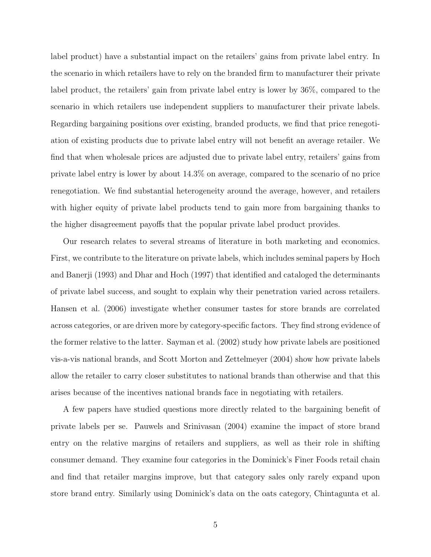label product) have a substantial impact on the retailers' gains from private label entry. In the scenario in which retailers have to rely on the branded firm to manufacturer their private label product, the retailers' gain from private label entry is lower by 36%, compared to the scenario in which retailers use independent suppliers to manufacturer their private labels. Regarding bargaining positions over existing, branded products, we find that price renegotiation of existing products due to private label entry will not benefit an average retailer. We find that when wholesale prices are adjusted due to private label entry, retailers' gains from private label entry is lower by about 14.3% on average, compared to the scenario of no price renegotiation. We find substantial heterogeneity around the average, however, and retailers with higher equity of private label products tend to gain more from bargaining thanks to the higher disagreement payoffs that the popular private label product provides.

Our research relates to several streams of literature in both marketing and economics. First, we contribute to the literature on private labels, which includes seminal papers by Hoch and Banerji (1993) and Dhar and Hoch (1997) that identified and cataloged the determinants of private label success, and sought to explain why their penetration varied across retailers. Hansen et al. (2006) investigate whether consumer tastes for store brands are correlated across categories, or are driven more by category-specific factors. They find strong evidence of the former relative to the latter. Sayman et al. (2002) study how private labels are positioned vis-a-vis national brands, and Scott Morton and Zettelmeyer (2004) show how private labels allow the retailer to carry closer substitutes to national brands than otherwise and that this arises because of the incentives national brands face in negotiating with retailers.

A few papers have studied questions more directly related to the bargaining benefit of private labels per se. Pauwels and Srinivasan (2004) examine the impact of store brand entry on the relative margins of retailers and suppliers, as well as their role in shifting consumer demand. They examine four categories in the Dominick's Finer Foods retail chain and find that retailer margins improve, but that category sales only rarely expand upon store brand entry. Similarly using Dominick's data on the oats category, Chintagunta et al.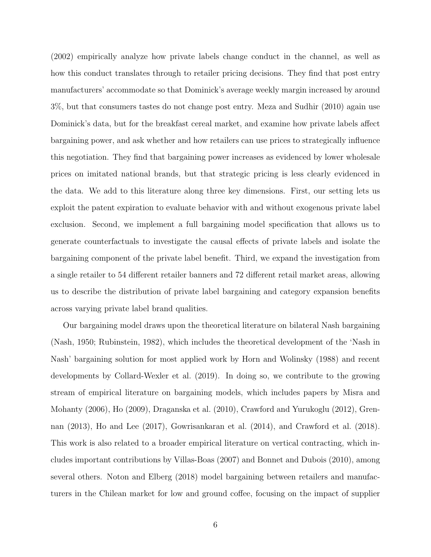(2002) empirically analyze how private labels change conduct in the channel, as well as how this conduct translates through to retailer pricing decisions. They find that post entry manufacturers' accommodate so that Dominick's average weekly margin increased by around 3%, but that consumers tastes do not change post entry. Meza and Sudhir (2010) again use Dominick's data, but for the breakfast cereal market, and examine how private labels affect bargaining power, and ask whether and how retailers can use prices to strategically influence this negotiation. They find that bargaining power increases as evidenced by lower wholesale prices on imitated national brands, but that strategic pricing is less clearly evidenced in the data. We add to this literature along three key dimensions. First, our setting lets us exploit the patent expiration to evaluate behavior with and without exogenous private label exclusion. Second, we implement a full bargaining model specification that allows us to generate counterfactuals to investigate the causal effects of private labels and isolate the bargaining component of the private label benefit. Third, we expand the investigation from a single retailer to 54 different retailer banners and 72 different retail market areas, allowing us to describe the distribution of private label bargaining and category expansion benefits across varying private label brand qualities.

Our bargaining model draws upon the theoretical literature on bilateral Nash bargaining (Nash, 1950; Rubinstein, 1982), which includes the theoretical development of the 'Nash in Nash' bargaining solution for most applied work by Horn and Wolinsky (1988) and recent developments by Collard-Wexler et al. (2019). In doing so, we contribute to the growing stream of empirical literature on bargaining models, which includes papers by Misra and Mohanty (2006), Ho (2009), Draganska et al. (2010), Crawford and Yurukoglu (2012), Grennan (2013), Ho and Lee (2017), Gowrisankaran et al. (2014), and Crawford et al. (2018). This work is also related to a broader empirical literature on vertical contracting, which includes important contributions by Villas-Boas (2007) and Bonnet and Dubois (2010), among several others. Noton and Elberg (2018) model bargaining between retailers and manufacturers in the Chilean market for low and ground coffee, focusing on the impact of supplier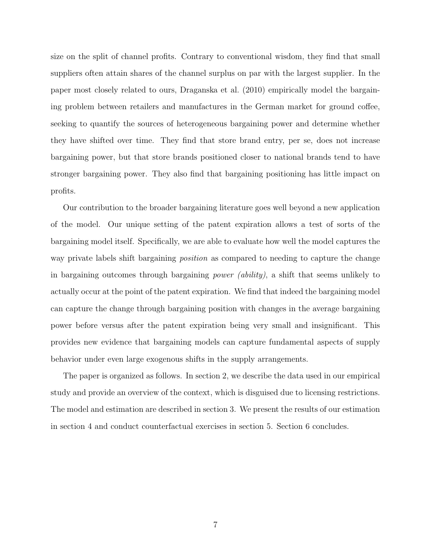size on the split of channel profits. Contrary to conventional wisdom, they find that small suppliers often attain shares of the channel surplus on par with the largest supplier. In the paper most closely related to ours, Draganska et al. (2010) empirically model the bargaining problem between retailers and manufactures in the German market for ground coffee, seeking to quantify the sources of heterogeneous bargaining power and determine whether they have shifted over time. They find that store brand entry, per se, does not increase bargaining power, but that store brands positioned closer to national brands tend to have stronger bargaining power. They also find that bargaining positioning has little impact on profits.

Our contribution to the broader bargaining literature goes well beyond a new application of the model. Our unique setting of the patent expiration allows a test of sorts of the bargaining model itself. Specifically, we are able to evaluate how well the model captures the way private labels shift bargaining *position* as compared to needing to capture the change in bargaining outcomes through bargaining power (ability), a shift that seems unlikely to actually occur at the point of the patent expiration. We find that indeed the bargaining model can capture the change through bargaining position with changes in the average bargaining power before versus after the patent expiration being very small and insignificant. This provides new evidence that bargaining models can capture fundamental aspects of supply behavior under even large exogenous shifts in the supply arrangements.

The paper is organized as follows. In section 2, we describe the data used in our empirical study and provide an overview of the context, which is disguised due to licensing restrictions. The model and estimation are described in section 3. We present the results of our estimation in section 4 and conduct counterfactual exercises in section 5. Section 6 concludes.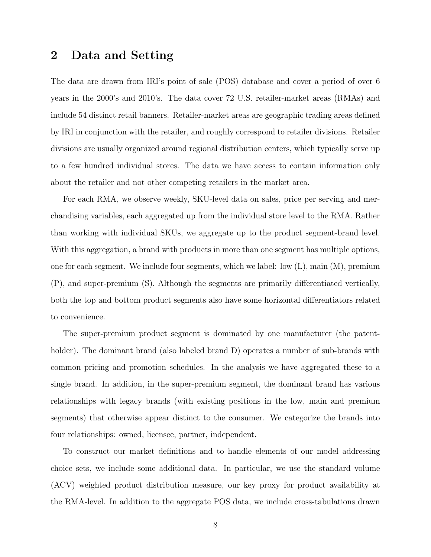### 2 Data and Setting

The data are drawn from IRI's point of sale (POS) database and cover a period of over 6 years in the 2000's and 2010's. The data cover 72 U.S. retailer-market areas (RMAs) and include 54 distinct retail banners. Retailer-market areas are geographic trading areas defined by IRI in conjunction with the retailer, and roughly correspond to retailer divisions. Retailer divisions are usually organized around regional distribution centers, which typically serve up to a few hundred individual stores. The data we have access to contain information only about the retailer and not other competing retailers in the market area.

For each RMA, we observe weekly, SKU-level data on sales, price per serving and merchandising variables, each aggregated up from the individual store level to the RMA. Rather than working with individual SKUs, we aggregate up to the product segment-brand level. With this aggregation, a brand with products in more than one segment has multiple options, one for each segment. We include four segments, which we label: low (L), main (M), premium (P), and super-premium (S). Although the segments are primarily differentiated vertically, both the top and bottom product segments also have some horizontal differentiators related to convenience.

The super-premium product segment is dominated by one manufacturer (the patentholder). The dominant brand (also labeled brand D) operates a number of sub-brands with common pricing and promotion schedules. In the analysis we have aggregated these to a single brand. In addition, in the super-premium segment, the dominant brand has various relationships with legacy brands (with existing positions in the low, main and premium segments) that otherwise appear distinct to the consumer. We categorize the brands into four relationships: owned, licensee, partner, independent.

To construct our market definitions and to handle elements of our model addressing choice sets, we include some additional data. In particular, we use the standard volume (ACV) weighted product distribution measure, our key proxy for product availability at the RMA-level. In addition to the aggregate POS data, we include cross-tabulations drawn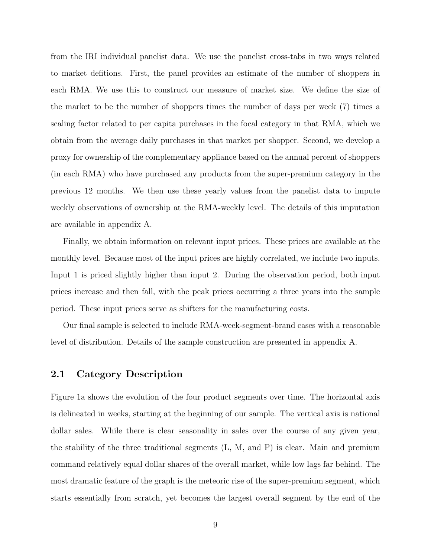from the IRI individual panelist data. We use the panelist cross-tabs in two ways related to market defitions. First, the panel provides an estimate of the number of shoppers in each RMA. We use this to construct our measure of market size. We define the size of the market to be the number of shoppers times the number of days per week (7) times a scaling factor related to per capita purchases in the focal category in that RMA, which we obtain from the average daily purchases in that market per shopper. Second, we develop a proxy for ownership of the complementary appliance based on the annual percent of shoppers (in each RMA) who have purchased any products from the super-premium category in the previous 12 months. We then use these yearly values from the panelist data to impute weekly observations of ownership at the RMA-weekly level. The details of this imputation are available in appendix A.

Finally, we obtain information on relevant input prices. These prices are available at the monthly level. Because most of the input prices are highly correlated, we include two inputs. Input 1 is priced slightly higher than input 2. During the observation period, both input prices increase and then fall, with the peak prices occurring a three years into the sample period. These input prices serve as shifters for the manufacturing costs.

Our final sample is selected to include RMA-week-segment-brand cases with a reasonable level of distribution. Details of the sample construction are presented in appendix A.

#### 2.1 Category Description

Figure 1a shows the evolution of the four product segments over time. The horizontal axis is delineated in weeks, starting at the beginning of our sample. The vertical axis is national dollar sales. While there is clear seasonality in sales over the course of any given year, the stability of the three traditional segments (L, M, and P) is clear. Main and premium command relatively equal dollar shares of the overall market, while low lags far behind. The most dramatic feature of the graph is the meteoric rise of the super-premium segment, which starts essentially from scratch, yet becomes the largest overall segment by the end of the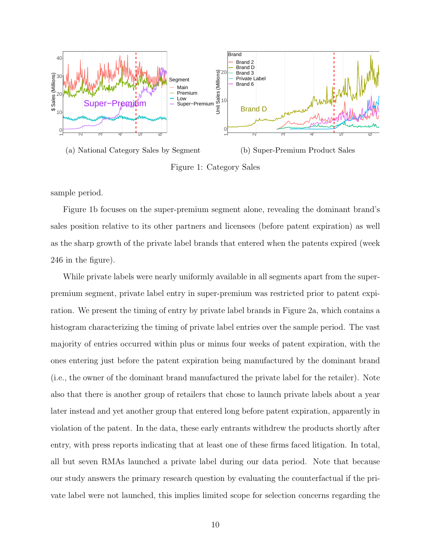

(a) National Category Sales by Segment (b) Super-Premium Product Sales Figure 1: Category Sales

sample period.

Figure 1b focuses on the super-premium segment alone, revealing the dominant brand's sales position relative to its other partners and licensees (before patent expiration) as well as the sharp growth of the private label brands that entered when the patents expired (week 246 in the figure).

While private labels were nearly uniformly available in all segments apart from the superpremium segment, private label entry in super-premium was restricted prior to patent expiration. We present the timing of entry by private label brands in Figure 2a, which contains a histogram characterizing the timing of private label entries over the sample period. The vast majority of entries occurred within plus or minus four weeks of patent expiration, with the ones entering just before the patent expiration being manufactured by the dominant brand (i.e., the owner of the dominant brand manufactured the private label for the retailer). Note also that there is another group of retailers that chose to launch private labels about a year later instead and yet another group that entered long before patent expiration, apparently in violation of the patent. In the data, these early entrants withdrew the products shortly after entry, with press reports indicating that at least one of these firms faced litigation. In total, all but seven RMAs launched a private label during our data period. Note that because our study answers the primary research question by evaluating the counterfactual if the private label were not launched, this implies limited scope for selection concerns regarding the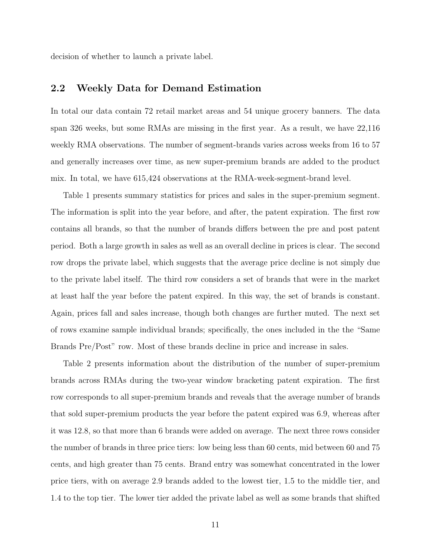decision of whether to launch a private label.

### 2.2 Weekly Data for Demand Estimation

In total our data contain 72 retail market areas and 54 unique grocery banners. The data span 326 weeks, but some RMAs are missing in the first year. As a result, we have 22,116 weekly RMA observations. The number of segment-brands varies across weeks from 16 to 57 and generally increases over time, as new super-premium brands are added to the product mix. In total, we have 615,424 observations at the RMA-week-segment-brand level.

Table 1 presents summary statistics for prices and sales in the super-premium segment. The information is split into the year before, and after, the patent expiration. The first row contains all brands, so that the number of brands differs between the pre and post patent period. Both a large growth in sales as well as an overall decline in prices is clear. The second row drops the private label, which suggests that the average price decline is not simply due to the private label itself. The third row considers a set of brands that were in the market at least half the year before the patent expired. In this way, the set of brands is constant. Again, prices fall and sales increase, though both changes are further muted. The next set of rows examine sample individual brands; specifically, the ones included in the the "Same Brands Pre/Post" row. Most of these brands decline in price and increase in sales.

Table 2 presents information about the distribution of the number of super-premium brands across RMAs during the two-year window bracketing patent expiration. The first row corresponds to all super-premium brands and reveals that the average number of brands that sold super-premium products the year before the patent expired was 6.9, whereas after it was 12.8, so that more than 6 brands were added on average. The next three rows consider the number of brands in three price tiers: low being less than 60 cents, mid between 60 and 75 cents, and high greater than 75 cents. Brand entry was somewhat concentrated in the lower price tiers, with on average 2.9 brands added to the lowest tier, 1.5 to the middle tier, and 1.4 to the top tier. The lower tier added the private label as well as some brands that shifted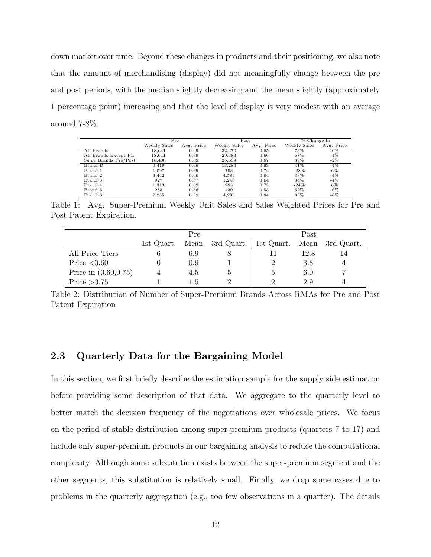down market over time. Beyond these changes in products and their positioning, we also note that the amount of merchandising (display) did not meaningfully change between the pre and post periods, with the median slightly decreasing and the mean slightly (approximately 1 percentage point) increasing and that the level of display is very modest with an average around 7-8%.

|                      | Pre          |            |              | Post       |              | % Change In |  |
|----------------------|--------------|------------|--------------|------------|--------------|-------------|--|
|                      | Weekly Sales | Avg. Price | Weekly Sales | Avg. Price | Weekly Sales | Avg. Price  |  |
| All Brands           | 18.641       | 0.69       | 32,270       | 0.65       | 73%          | $-6\%$      |  |
| All Brands Except PL | 18,611       | 0.69       | 29,383       | 0.66       | 58%          | $-4\%$      |  |
| Same Brands Pre/Post | 18,400       | 0.69       | 25,559       | 0.67       | 39%          | $-2\%$      |  |
| Brand D              | 9.419        | 0.66       | 13.284       | 0.63       | 41%          | $-4\%$      |  |
| Brand 1              | 1.097        | 0.69       | 793          | 0.74       | $-28\%$      | 6%          |  |
| Brand 2              | 3.442        | 0.66       | 4.584        | 0.64       | 33%          | $-4\%$      |  |
| Brand 3              | 927          | 0.67       | 1.240        | 0.64       | 34%          | $-4\%$      |  |
| Brand 4              | 1.313        | 0.69       | 993          | 0.73       | $-24%$       | 6%          |  |
| Brand 5              | 283          | 0.56       | 430          | 0.53       | 52%          | $-6\%$      |  |
| Brand 6              | 2.255        | 0.89       | 4.235        | 0.84       | 88%          | $-6\%$      |  |

Table 1: Avg. Super-Premium Weekly Unit Sales and Sales Weighted Prices for Pre and Post Patent Expiration.

|                         | Pre        |      |              | Post       |      |            |
|-------------------------|------------|------|--------------|------------|------|------------|
|                         | 1st Quart. | Mean | 3rd Quart.   | 1st Quart. | Mean | 3rd Quart. |
| All Price Tiers         |            | 6.9  |              |            | 12.8 |            |
| Price $< 0.60$          |            | 0.9  |              |            | 3.8  |            |
| Price in $(0.60, 0.75)$ |            | 4.5  | $\mathbf{G}$ |            | 6.0  |            |
| Price $>0.75$           |            | 1.5  | 9            |            | 2.9  |            |

Table 2: Distribution of Number of Super-Premium Brands Across RMAs for Pre and Post Patent Expiration

### 2.3 Quarterly Data for the Bargaining Model

In this section, we first briefly describe the estimation sample for the supply side estimation before providing some description of that data. We aggregate to the quarterly level to better match the decision frequency of the negotiations over wholesale prices. We focus on the period of stable distribution among super-premium products (quarters 7 to 17) and include only super-premium products in our bargaining analysis to reduce the computational complexity. Although some substitution exists between the super-premium segment and the other segments, this substitution is relatively small. Finally, we drop some cases due to problems in the quarterly aggregation (e.g., too few observations in a quarter). The details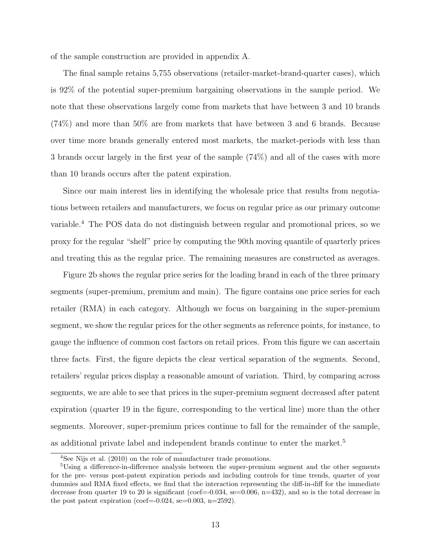of the sample construction are provided in appendix A.

The final sample retains 5,755 observations (retailer-market-brand-quarter cases), which is 92% of the potential super-premium bargaining observations in the sample period. We note that these observations largely come from markets that have between 3 and 10 brands (74%) and more than 50% are from markets that have between 3 and 6 brands. Because over time more brands generally entered most markets, the market-periods with less than 3 brands occur largely in the first year of the sample (74%) and all of the cases with more than 10 brands occurs after the patent expiration.

Since our main interest lies in identifying the wholesale price that results from negotiations between retailers and manufacturers, we focus on regular price as our primary outcome variable.<sup>4</sup> The POS data do not distinguish between regular and promotional prices, so we proxy for the regular "shelf" price by computing the 90th moving quantile of quarterly prices and treating this as the regular price. The remaining measures are constructed as averages.

Figure 2b shows the regular price series for the leading brand in each of the three primary segments (super-premium, premium and main). The figure contains one price series for each retailer (RMA) in each category. Although we focus on bargaining in the super-premium segment, we show the regular prices for the other segments as reference points, for instance, to gauge the influence of common cost factors on retail prices. From this figure we can ascertain three facts. First, the figure depicts the clear vertical separation of the segments. Second, retailers' regular prices display a reasonable amount of variation. Third, by comparing across segments, we are able to see that prices in the super-premium segment decreased after patent expiration (quarter 19 in the figure, corresponding to the vertical line) more than the other segments. Moreover, super-premium prices continue to fall for the remainder of the sample, as additional private label and independent brands continue to enter the market.<sup>5</sup>

<sup>4</sup>See Nijs et al. (2010) on the role of manufacturer trade promotions.

<sup>&</sup>lt;sup>5</sup>Using a difference-in-difference analysis between the super-premium segment and the other segments for the pre- versus post-patent expiration periods and including controls for time trends, quarter of year dummies and RMA fixed effects, we find that the interaction representing the diff-in-diff for the immediate decrease from quarter 19 to 20 is significant (coef=-0.034, se=0.006,  $n=432$ ), and so is the total decrease in the post patent expiration (coef= $-0.024$ , se= $0.003$ , n= $2592$ ).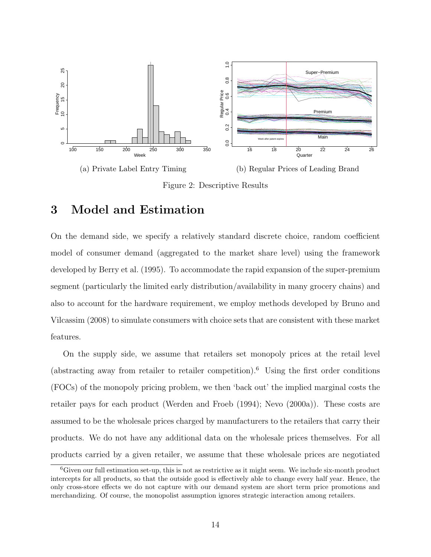

Figure 2: Descriptive Results

# 3 Model and Estimation

On the demand side, we specify a relatively standard discrete choice, random coefficient model of consumer demand (aggregated to the market share level) using the framework developed by Berry et al. (1995). To accommodate the rapid expansion of the super-premium segment (particularly the limited early distribution/availability in many grocery chains) and also to account for the hardware requirement, we employ methods developed by Bruno and Vilcassim (2008) to simulate consumers with choice sets that are consistent with these market features.

On the supply side, we assume that retailers set monopoly prices at the retail level (abstracting away from retailer to retailer competition).<sup>6</sup> Using the first order conditions (FOCs) of the monopoly pricing problem, we then 'back out' the implied marginal costs the retailer pays for each product (Werden and Froeb (1994); Nevo (2000a)). These costs are assumed to be the wholesale prices charged by manufacturers to the retailers that carry their products. We do not have any additional data on the wholesale prices themselves. For all products carried by a given retailer, we assume that these wholesale prices are negotiated

 ${}^{6}$ Given our full estimation set-up, this is not as restrictive as it might seem. We include six-month product intercepts for all products, so that the outside good is effectively able to change every half year. Hence, the only cross-store effects we do not capture with our demand system are short term price promotions and merchandizing. Of course, the monopolist assumption ignores strategic interaction among retailers.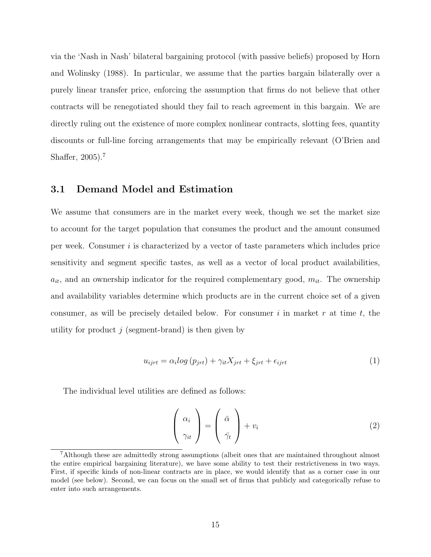via the 'Nash in Nash' bilateral bargaining protocol (with passive beliefs) proposed by Horn and Wolinsky (1988). In particular, we assume that the parties bargain bilaterally over a purely linear transfer price, enforcing the assumption that firms do not believe that other contracts will be renegotiated should they fail to reach agreement in this bargain. We are directly ruling out the existence of more complex nonlinear contracts, slotting fees, quantity discounts or full-line forcing arrangements that may be empirically relevant (O'Brien and Shaffer, 2005).<sup>7</sup>

### 3.1 Demand Model and Estimation

We assume that consumers are in the market every week, though we set the market size to account for the target population that consumes the product and the amount consumed per week. Consumer  $i$  is characterized by a vector of taste parameters which includes price sensitivity and segment specific tastes, as well as a vector of local product availabilities,  $a_{it}$ , and an ownership indicator for the required complementary good,  $m_{it}$ . The ownership and availability variables determine which products are in the current choice set of a given consumer, as will be precisely detailed below. For consumer i in market r at time t, the utility for product  $j$  (segment-brand) is then given by

$$
u_{ijrt} = \alpha_i \log (p_{jrt}) + \gamma_{it} X_{jrt} + \xi_{jrt} + \epsilon_{ijrt}
$$
\n<sup>(1)</sup>

The individual level utilities are defined as follows:

$$
\left(\begin{array}{c} \alpha_i \\ \gamma_{it} \end{array}\right) = \left(\begin{array}{c} \bar{\alpha} \\ \bar{\gamma}_t \end{array}\right) + v_i \tag{2}
$$

<sup>7</sup>Although these are admittedly strong assumptions (albeit ones that are maintained throughout almost the entire empirical bargaining literature), we have some ability to test their restrictiveness in two ways. First, if specific kinds of non-linear contracts are in place, we would identify that as a corner case in our model (see below). Second, we can focus on the small set of firms that publicly and categorically refuse to enter into such arrangements.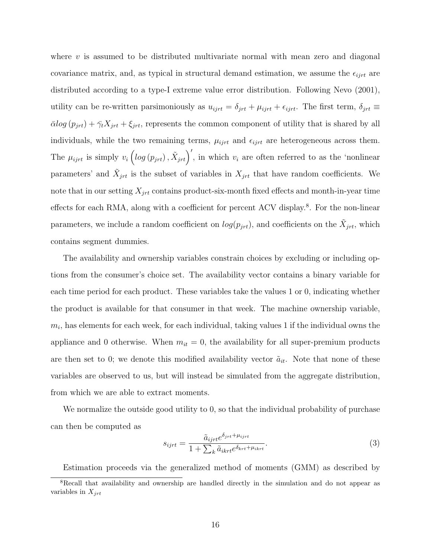where  $v$  is assumed to be distributed multivariate normal with mean zero and diagonal covariance matrix, and, as typical in structural demand estimation, we assume the  $\epsilon_{ijrt}$  are distributed according to a type-I extreme value error distribution. Following Nevo (2001), utility can be re-written parsimoniously as  $u_{ijrt} = \delta_{jrt} + \mu_{ijrt} + \epsilon_{ijrt}$ . The first term,  $\delta_{jrt} \equiv$  $\bar{\alpha}$ log  $(p_{jrt}) + \bar{\gamma}_t X_{jrt} + \xi_{jrt}$ , represents the common component of utility that is shared by all individuals, while the two remaining terms,  $\mu_{ijrt}$  and  $\epsilon_{ijrt}$  are heterogeneous across them. The  $\mu_{ijrt}$  is simply  $v_i \left( \log (p_{jrt}) , \tilde{X}_{jrt} \right)'$ , in which  $v_i$  are often referred to as the 'nonlinear parameters' and  $\tilde{X}_{jrt}$  is the subset of variables in  $X_{jrt}$  that have random coefficients. We note that in our setting  $X_{jrt}$  contains product-six-month fixed effects and month-in-year time effects for each RMA, along with a coefficient for percent ACV display.<sup>8</sup>. For the non-linear parameters, we include a random coefficient on  $log(p_{jrt})$ , and coefficients on the  $\tilde{X}_{jrt}$ , which contains segment dummies.

The availability and ownership variables constrain choices by excluding or including options from the consumer's choice set. The availability vector contains a binary variable for each time period for each product. These variables take the values 1 or 0, indicating whether the product is available for that consumer in that week. The machine ownership variable,  $m_i$ , has elements for each week, for each individual, taking values 1 if the individual owns the appliance and 0 otherwise. When  $m_{it} = 0$ , the availability for all super-premium products are then set to 0; we denote this modified availability vector  $\tilde{a}_{it}$ . Note that none of these variables are observed to us, but will instead be simulated from the aggregate distribution, from which we are able to extract moments.

We normalize the outside good utility to 0, so that the individual probability of purchase can then be computed as

$$
s_{ijrt} = \frac{\tilde{a}_{ijrt}e^{\delta_{jrt} + \mu_{ijrt}}}{1 + \sum_{k} \tilde{a}_{ikrt}e^{\delta_{krt} + \mu_{ikrt}}}.
$$
\n(3)

Estimation proceeds via the generalized method of moments (GMM) as described by

<sup>8</sup>Recall that availability and ownership are handled directly in the simulation and do not appear as variables in  $X_{jrt}$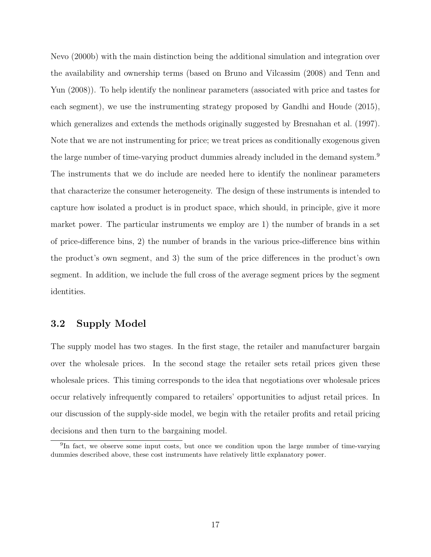Nevo (2000b) with the main distinction being the additional simulation and integration over the availability and ownership terms (based on Bruno and Vilcassim (2008) and Tenn and Yun (2008)). To help identify the nonlinear parameters (associated with price and tastes for each segment), we use the instrumenting strategy proposed by Gandhi and Houde (2015), which generalizes and extends the methods originally suggested by Bresnahan et al. (1997). Note that we are not instrumenting for price; we treat prices as conditionally exogenous given the large number of time-varying product dummies already included in the demand system.<sup>9</sup> The instruments that we do include are needed here to identify the nonlinear parameters that characterize the consumer heterogeneity. The design of these instruments is intended to capture how isolated a product is in product space, which should, in principle, give it more market power. The particular instruments we employ are 1) the number of brands in a set of price-difference bins, 2) the number of brands in the various price-difference bins within the product's own segment, and 3) the sum of the price differences in the product's own segment. In addition, we include the full cross of the average segment prices by the segment identities.

### 3.2 Supply Model

The supply model has two stages. In the first stage, the retailer and manufacturer bargain over the wholesale prices. In the second stage the retailer sets retail prices given these wholesale prices. This timing corresponds to the idea that negotiations over wholesale prices occur relatively infrequently compared to retailers' opportunities to adjust retail prices. In our discussion of the supply-side model, we begin with the retailer profits and retail pricing decisions and then turn to the bargaining model.

<sup>&</sup>lt;sup>9</sup>In fact, we observe some input costs, but once we condition upon the large number of time-varying dummies described above, these cost instruments have relatively little explanatory power.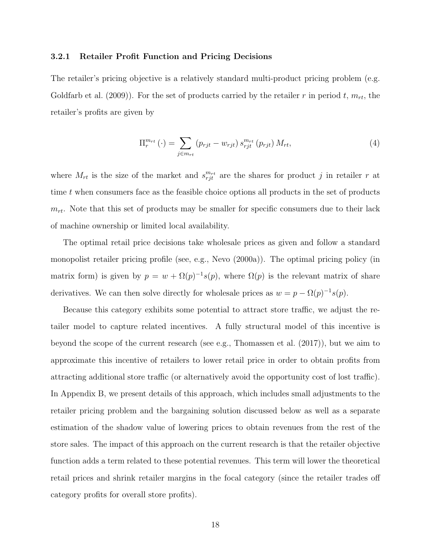#### 3.2.1 Retailer Profit Function and Pricing Decisions

The retailer's pricing objective is a relatively standard multi-product pricing problem (e.g. Goldfarb et al. (2009)). For the set of products carried by the retailer r in period t,  $m_{rt}$ , the retailer's profits are given by

$$
\Pi_{r}^{m_{rt}}\left(\cdot\right)=\sum_{j\in m_{rt}}\left(p_{rjt}-w_{rjt}\right)s_{rjt}^{m_{rt}}\left(p_{rjt}\right)M_{rt},\tag{4}
$$

where  $M_{rt}$  is the size of the market and  $s_{rjt}^{m_{rt}}$  are the shares for product j in retailer r at time t when consumers face as the feasible choice options all products in the set of products  $m_{rt}$ . Note that this set of products may be smaller for specific consumers due to their lack of machine ownership or limited local availability.

The optimal retail price decisions take wholesale prices as given and follow a standard monopolist retailer pricing profile (see, e.g., Nevo (2000a)). The optimal pricing policy (in matrix form) is given by  $p = w + \Omega(p)^{-1} s(p)$ , where  $\Omega(p)$  is the relevant matrix of share derivatives. We can then solve directly for wholesale prices as  $w = p - \Omega(p)^{-1} s(p)$ .

Because this category exhibits some potential to attract store traffic, we adjust the retailer model to capture related incentives. A fully structural model of this incentive is beyond the scope of the current research (see e.g., Thomassen et al. (2017)), but we aim to approximate this incentive of retailers to lower retail price in order to obtain profits from attracting additional store traffic (or alternatively avoid the opportunity cost of lost traffic). In Appendix B, we present details of this approach, which includes small adjustments to the retailer pricing problem and the bargaining solution discussed below as well as a separate estimation of the shadow value of lowering prices to obtain revenues from the rest of the store sales. The impact of this approach on the current research is that the retailer objective function adds a term related to these potential revenues. This term will lower the theoretical retail prices and shrink retailer margins in the focal category (since the retailer trades off category profits for overall store profits).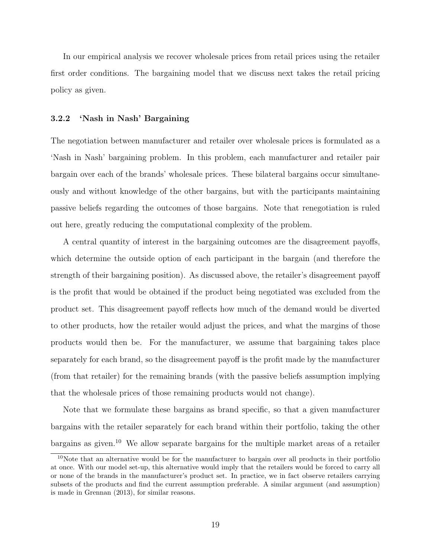In our empirical analysis we recover wholesale prices from retail prices using the retailer first order conditions. The bargaining model that we discuss next takes the retail pricing policy as given.

#### 3.2.2 'Nash in Nash' Bargaining

The negotiation between manufacturer and retailer over wholesale prices is formulated as a 'Nash in Nash' bargaining problem. In this problem, each manufacturer and retailer pair bargain over each of the brands' wholesale prices. These bilateral bargains occur simultaneously and without knowledge of the other bargains, but with the participants maintaining passive beliefs regarding the outcomes of those bargains. Note that renegotiation is ruled out here, greatly reducing the computational complexity of the problem.

A central quantity of interest in the bargaining outcomes are the disagreement payoffs, which determine the outside option of each participant in the bargain (and therefore the strength of their bargaining position). As discussed above, the retailer's disagreement payoff is the profit that would be obtained if the product being negotiated was excluded from the product set. This disagreement payoff reflects how much of the demand would be diverted to other products, how the retailer would adjust the prices, and what the margins of those products would then be. For the manufacturer, we assume that bargaining takes place separately for each brand, so the disagreement payoff is the profit made by the manufacturer (from that retailer) for the remaining brands (with the passive beliefs assumption implying that the wholesale prices of those remaining products would not change).

Note that we formulate these bargains as brand specific, so that a given manufacturer bargains with the retailer separately for each brand within their portfolio, taking the other bargains as given.<sup>10</sup> We allow separate bargains for the multiple market areas of a retailer

<sup>&</sup>lt;sup>10</sup>Note that an alternative would be for the manufacturer to bargain over all products in their portfolio at once. With our model set-up, this alternative would imply that the retailers would be forced to carry all or none of the brands in the manufacturer's product set. In practice, we in fact observe retailers carrying subsets of the products and find the current assumption preferable. A similar argument (and assumption) is made in Grennan (2013), for similar reasons.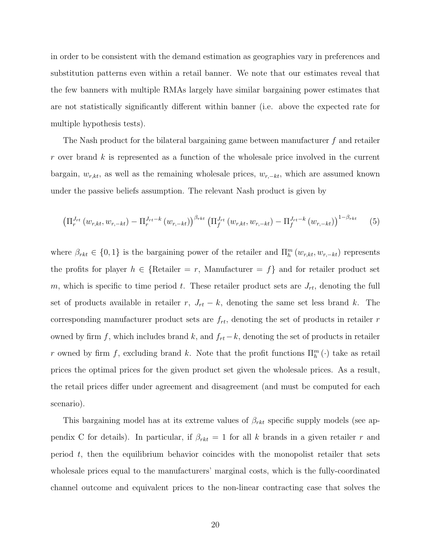in order to be consistent with the demand estimation as geographies vary in preferences and substitution patterns even within a retail banner. We note that our estimates reveal that the few banners with multiple RMAs largely have similar bargaining power estimates that are not statistically significantly different within banner (i.e. above the expected rate for multiple hypothesis tests).

The Nash product for the bilateral bargaining game between manufacturer f and retailer r over brand k is represented as a function of the wholesale price involved in the current bargain,  $w_{r,kt}$ , as well as the remaining wholesale prices,  $w_{r,-kt}$ , which are assumed known under the passive beliefs assumption. The relevant Nash product is given by

$$
\left(\Pi_r^{J_{rt}}(w_{r,kt}, w_{r,-kt}) - \Pi_r^{J_{rt}-k}(w_{r,-kt})\right)^{\beta_{rkt}} \left(\Pi_f^{J_{rt}}(w_{r,kt}, w_{r,-kt}) - \Pi_f^{J_{rt}-k}(w_{r,-kt})\right)^{1-\beta_{rkt}}
$$
(5)

where  $\beta_{rkt} \in \{0,1\}$  is the bargaining power of the retailer and  $\Pi_{h}^{m}(w_{r,kt}, w_{r,-kt})$  represents the profits for player  $h \in \{\text{Retailer} = r, \text{ Manuelacturer} = f\}$  and for retailer product set m, which is specific to time period t. These retailer product sets are  $J_{rt}$ , denoting the full set of products available in retailer r,  $J_{rt} - k$ , denoting the same set less brand k. The corresponding manufacturer product sets are  $f_{rt}$ , denoting the set of products in retailer r owned by firm f, which includes brand k, and  $f_{rt} - k$ , denoting the set of products in retailer r owned by firm f, excluding brand k. Note that the profit functions  $\Pi_k^m(\cdot)$  take as retail prices the optimal prices for the given product set given the wholesale prices. As a result, the retail prices differ under agreement and disagreement (and must be computed for each scenario).

This bargaining model has at its extreme values of  $\beta_{rkt}$  specific supply models (see appendix C for details). In particular, if  $\beta_{rkt} = 1$  for all k brands in a given retailer r and period t, then the equilibrium behavior coincides with the monopolist retailer that sets wholesale prices equal to the manufacturers' marginal costs, which is the fully-coordinated channel outcome and equivalent prices to the non-linear contracting case that solves the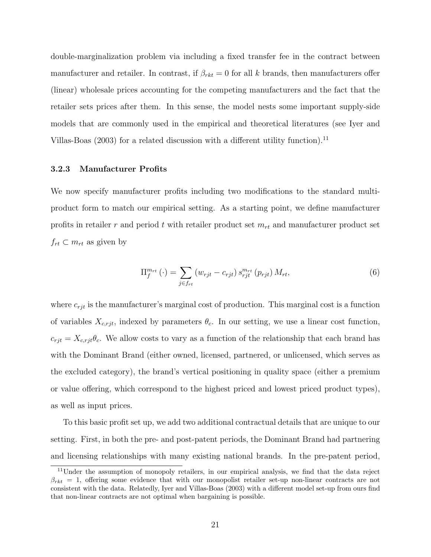double-marginalization problem via including a fixed transfer fee in the contract between manufacturer and retailer. In contrast, if  $\beta_{rkt} = 0$  for all k brands, then manufacturers offer (linear) wholesale prices accounting for the competing manufacturers and the fact that the retailer sets prices after them. In this sense, the model nests some important supply-side models that are commonly used in the empirical and theoretical literatures (see Iyer and Villas-Boas (2003) for a related discussion with a different utility function).<sup>11</sup>

#### 3.2.3 Manufacturer Profits

We now specify manufacturer profits including two modifications to the standard multiproduct form to match our empirical setting. As a starting point, we define manufacturer profits in retailer r and period t with retailer product set  $m_{rt}$  and manufacturer product set  $f_{rt} \subset m_{rt}$  as given by

$$
\Pi_f^{m_{rt}}\left(\cdot\right) = \sum_{j \in f_{rt}} \left(w_{rjt} - c_{rjt}\right) s_{rjt}^{m_{rt}}\left(p_{rjt}\right) M_{rt},\tag{6}
$$

where  $c_{rit}$  is the manufacturer's marginal cost of production. This marginal cost is a function of variables  $X_{c,rjt}$ , indexed by parameters  $\theta_c$ . In our setting, we use a linear cost function,  $c_{rjt} = X_{c, rjt} \theta_c$ . We allow costs to vary as a function of the relationship that each brand has with the Dominant Brand (either owned, licensed, partnered, or unlicensed, which serves as the excluded category), the brand's vertical positioning in quality space (either a premium or value offering, which correspond to the highest priced and lowest priced product types), as well as input prices.

To this basic profit set up, we add two additional contractual details that are unique to our setting. First, in both the pre- and post-patent periods, the Dominant Brand had partnering and licensing relationships with many existing national brands. In the pre-patent period,

<sup>11</sup>Under the assumption of monopoly retailers, in our empirical analysis, we find that the data reject  $\beta_{rkt} = 1$ , offering some evidence that with our monopolist retailer set-up non-linear contracts are not consistent with the data. Relatedly, Iyer and Villas-Boas (2003) with a different model set-up from ours find that non-linear contracts are not optimal when bargaining is possible.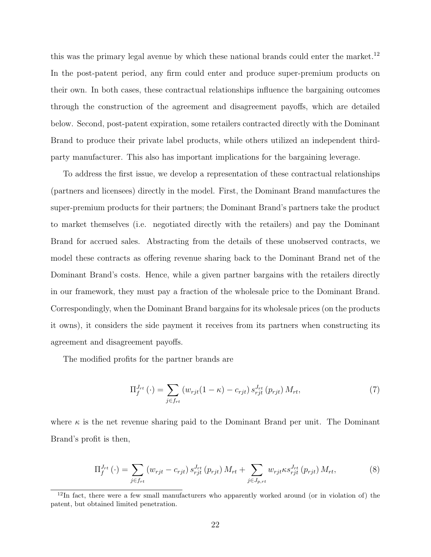this was the primary legal avenue by which these national brands could enter the market.<sup>12</sup> In the post-patent period, any firm could enter and produce super-premium products on their own. In both cases, these contractual relationships influence the bargaining outcomes through the construction of the agreement and disagreement payoffs, which are detailed below. Second, post-patent expiration, some retailers contracted directly with the Dominant Brand to produce their private label products, while others utilized an independent thirdparty manufacturer. This also has important implications for the bargaining leverage.

To address the first issue, we develop a representation of these contractual relationships (partners and licensees) directly in the model. First, the Dominant Brand manufactures the super-premium products for their partners; the Dominant Brand's partners take the product to market themselves (i.e. negotiated directly with the retailers) and pay the Dominant Brand for accrued sales. Abstracting from the details of these unobserved contracts, we model these contracts as offering revenue sharing back to the Dominant Brand net of the Dominant Brand's costs. Hence, while a given partner bargains with the retailers directly in our framework, they must pay a fraction of the wholesale price to the Dominant Brand. Correspondingly, when the Dominant Brand bargains for its wholesale prices (on the products it owns), it considers the side payment it receives from its partners when constructing its agreement and disagreement payoffs.

The modified profits for the partner brands are

$$
\Pi_f^{J_{rt}}(\cdot) = \sum_{j \in f_{rt}} \left( w_{rjt}(1 - \kappa) - c_{rjt} \right) s_{rjt}^{J_{rt}}(p_{rjt}) M_{rt},\tag{7}
$$

where  $\kappa$  is the net revenue sharing paid to the Dominant Brand per unit. The Dominant Brand's profit is then,

$$
\Pi_{f}^{J_{rt}}(\cdot) = \sum_{j \in f_{rt}} (w_{rjt} - c_{rjt}) s_{rjt}^{J_{rt}}(p_{rjt}) M_{rt} + \sum_{j \in J_{p,rt}} w_{rjt} \kappa s_{rjt}^{J_{rt}}(p_{rjt}) M_{rt},
$$
\n(8)

<sup>&</sup>lt;sup>12</sup>In fact, there were a few small manufacturers who apparently worked around (or in violation of) the patent, but obtained limited penetration.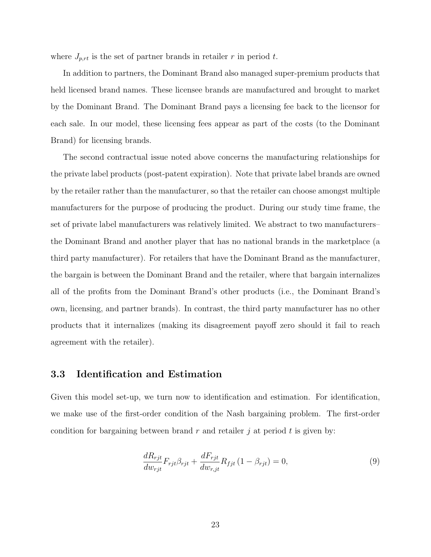where  $J_{p,rt}$  is the set of partner brands in retailer r in period t.

In addition to partners, the Dominant Brand also managed super-premium products that held licensed brand names. These licensee brands are manufactured and brought to market by the Dominant Brand. The Dominant Brand pays a licensing fee back to the licensor for each sale. In our model, these licensing fees appear as part of the costs (to the Dominant Brand) for licensing brands.

The second contractual issue noted above concerns the manufacturing relationships for the private label products (post-patent expiration). Note that private label brands are owned by the retailer rather than the manufacturer, so that the retailer can choose amongst multiple manufacturers for the purpose of producing the product. During our study time frame, the set of private label manufacturers was relatively limited. We abstract to two manufacturers– the Dominant Brand and another player that has no national brands in the marketplace (a third party manufacturer). For retailers that have the Dominant Brand as the manufacturer, the bargain is between the Dominant Brand and the retailer, where that bargain internalizes all of the profits from the Dominant Brand's other products (i.e., the Dominant Brand's own, licensing, and partner brands). In contrast, the third party manufacturer has no other products that it internalizes (making its disagreement payoff zero should it fail to reach agreement with the retailer).

#### 3.3 Identification and Estimation

Given this model set-up, we turn now to identification and estimation. For identification, we make use of the first-order condition of the Nash bargaining problem. The first-order condition for bargaining between brand r and retailer j at period t is given by:

$$
\frac{dR_{rjt}}{dw_{rjt}}F_{rjt}\beta_{rjt} + \frac{dF_{rjt}}{dw_{r,jt}}R_{fjt}(1-\beta_{rjt}) = 0,
$$
\n(9)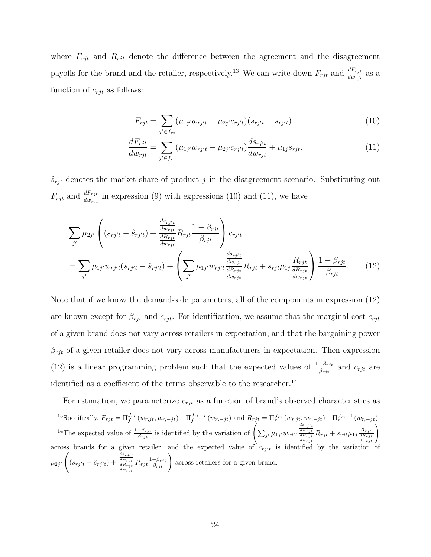where  $F_{rjt}$  and  $R_{rjt}$  denote the difference between the agreement and the disagreement payoffs for the brand and the retailer, respectively.<sup>13</sup> We can write down  $F_{rjt}$  and  $\frac{dF_{rjt}}{dw_{rjt}}$  as a function of  $c_{rjt}$  as follows:

$$
F_{rjt} = \sum_{j' \in f_{rt}} (\mu_{1j'} w_{rj't} - \mu_{2j'} c_{rj't})(s_{rj't} - \hat{s}_{rj't}). \tag{10}
$$

$$
\frac{dF_{rjt}}{dw_{rjt}} = \sum_{j' \in f_{rt}} (\mu_{1j'} w_{rj't} - \mu_{2j'} c_{rj't}) \frac{d s_{rj't}}{dw_{rjt}} + \mu_{1j} s_{rjt}.
$$
\n(11)

 $\hat{s}_{rjt}$  denotes the market share of product j in the disagreement scenario. Substituting out  $F_{rjt}$  and  $\frac{dF_{rjt}}{dw_{rjt}}$  in expression (9) with expressions (10) and (11), we have

$$
\sum_{j'} \mu_{2j'} \left( (s_{rj't} - \hat{s}_{rj't}) + \frac{\frac{ds_{rj't}}{dR_{rjt}} R_{rjt} \frac{1 - \beta_{rjt}}{\beta_{rjt}} \right) c_{rj't}
$$
\n
$$
= \sum_{j'} \mu_{1j'} w_{rj't} (s_{rj't} - \hat{s}_{rj't}) + \left( \sum_{j'} \mu_{1j'} w_{rj't} \frac{\frac{ds_{rj't}}{dW_{rjt}} R_{rjt} + s_{rjt} \mu_{1j} \frac{R_{rjt}}{\frac{dR_{rjt}}{dW_{rjt}}} \right) \frac{1 - \beta_{rjt}}{\beta_{rjt}}.
$$
\n(12)

Note that if we know the demand-side parameters, all of the components in expression (12) are known except for  $\beta_{rjt}$  and  $c_{rjt}$ . For identification, we assume that the marginal cost  $c_{rjt}$ of a given brand does not vary across retailers in expectation, and that the bargaining power  $\beta_{rjt}$  of a given retailer does not vary across manufacturers in expectation. Then expression (12) is a linear programming problem such that the expected values of  $\frac{1-\beta_{rjt}}{\beta_{rjt}}$  and  $c_{rjt}$  are identified as a coefficient of the terms observable to the researcher.<sup>14</sup>

For estimation, we parameterize  $c_{rjt}$  as a function of brand's observed characteristics as

<sup>13</sup>Specifically,  $F_{rjt} = \Pi_f^{J_{rt}}(w_{r,jt}, w_{r,-jt}) - \Pi_f^{J_{rt}-j}(w_{r,-jt})$  and  $R_{rjt} = \Pi_r^{J_{rt}}(w_{r,jt}, w_{r,-jt}) - \Pi_r^{J_{rt}-j}(w_{r,-jt})$ . <sup>14</sup>The expected value of  $\frac{1-\beta_{rjt}}{\beta_{rjt}}$  is identified by the variation of  $\left(\sum_{j'} \mu_{1j'} w_{rj't}\right)$  $\frac{ds_{rj^\prime t}}{dw_{rjt}} \frac{dR_{rjt}}{dw_{rjt}}$  $R_{rjt} + s_{rjt} \mu_{1j} \frac{R_{rjt}}{\frac{dR_{rjt}}{d w_{rjt}}}$ across brands for a given retailer, and the expected value of  $c_{rj't}$  is identified by the variation of  $\mu_{2j'}$  $\sqrt{2}$  $(s_{rj't} - \hat{s}_{rj't}) + \frac{dw_{rjt}}{\frac{dR_{rjt}}{dw_{rjt}}}$  $ds_{rj't}$  $R_{rjt} \frac{1-\beta_{rjt}}{\beta_{rjt}}$  across retailers for a given brand.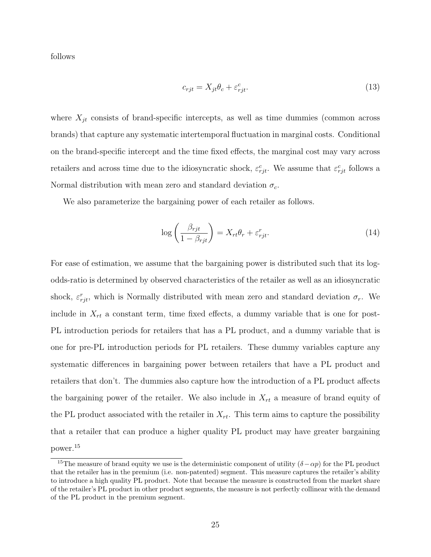follows

$$
c_{rjt} = X_{jt}\theta_c + \varepsilon_{rjt}^c.
$$
\n(13)

where  $X_{jt}$  consists of brand-specific intercepts, as well as time dummies (common across brands) that capture any systematic intertemporal fluctuation in marginal costs. Conditional on the brand-specific intercept and the time fixed effects, the marginal cost may vary across retailers and across time due to the idiosyncratic shock,  $\varepsilon_{rjt}^c$ . We assume that  $\varepsilon_{rjt}^c$  follows a Normal distribution with mean zero and standard deviation  $\sigma_c$ .

We also parameterize the bargaining power of each retailer as follows.

$$
\log\left(\frac{\beta_{rjt}}{1-\beta_{rjt}}\right) = X_{rt}\theta_r + \varepsilon_{rjt}^r.
$$
\n(14)

For ease of estimation, we assume that the bargaining power is distributed such that its logodds-ratio is determined by observed characteristics of the retailer as well as an idiosyncratic shock,  $\varepsilon_{rjt}^r$ , which is Normally distributed with mean zero and standard deviation  $\sigma_r$ . We include in  $X_{rt}$  a constant term, time fixed effects, a dummy variable that is one for post-PL introduction periods for retailers that has a PL product, and a dummy variable that is one for pre-PL introduction periods for PL retailers. These dummy variables capture any systematic differences in bargaining power between retailers that have a PL product and retailers that don't. The dummies also capture how the introduction of a PL product affects the bargaining power of the retailer. We also include in  $X_{rt}$  a measure of brand equity of the PL product associated with the retailer in  $X_{rt}$ . This term aims to capture the possibility that a retailer that can produce a higher quality PL product may have greater bargaining power.<sup>15</sup>

<sup>&</sup>lt;sup>15</sup>The measure of brand equity we use is the deterministic component of utility  $(\delta - \alpha p)$  for the PL product that the retailer has in the premium (i.e. non-patented) segment. This measure captures the retailer's ability to introduce a high quality PL product. Note that because the measure is constructed from the market share of the retailer's PL product in other product segments, the measure is not perfectly collinear with the demand of the PL product in the premium segment.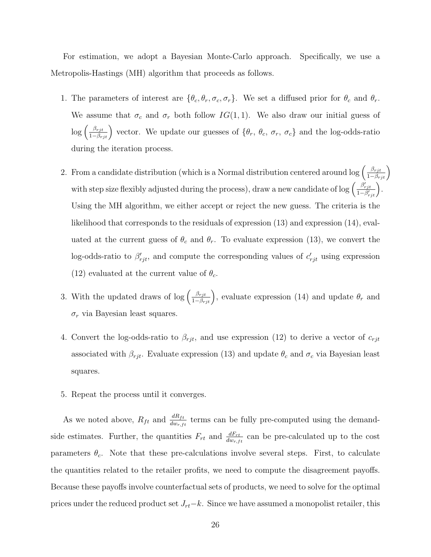For estimation, we adopt a Bayesian Monte-Carlo approach. Specifically, we use a Metropolis-Hastings (MH) algorithm that proceeds as follows.

- 1. The parameters of interest are  $\{\theta_c, \theta_r, \sigma_c, \sigma_r\}$ . We set a diffused prior for  $\theta_c$  and  $\theta_r$ . We assume that  $\sigma_c$  and  $\sigma_r$  both follow  $IG(1, 1)$ . We also draw our initial guess of  $\log\left(\frac{\beta_{rjt}}{1-\beta_{rjt}}\right)$  vector. We update our guesses of  $\{\theta_r, \theta_c, \sigma_r, \sigma_c\}$  and the log-odds-ratio during the iteration process.
- 2. From a candidate distribution (which is a Normal distribution centered around  $\log\left(\frac{\beta_{rjt}}{1-\beta_{rjt}}\right)$ with step size flexibly adjusted during the process), draw a new candidate of log  $\left(\frac{\beta'_{rjt}}{1-\beta'_{rjt}}\right)$ . Using the MH algorithm, we either accept or reject the new guess. The criteria is the likelihood that corresponds to the residuals of expression (13) and expression (14), evaluated at the current guess of  $\theta_c$  and  $\theta_r$ . To evaluate expression (13), we convert the log-odds-ratio to  $\beta'_{rjt}$ , and compute the corresponding values of  $c'_{rjt}$  using expression (12) evaluated at the current value of  $\theta_c$ .
- 3. With the updated draws of log  $\left(\frac{\beta_{rjt}}{1-\beta_{rjt}}\right)$ , evaluate expression (14) and update  $\theta_r$  and  $\sigma_r$  via Bayesian least squares.
- 4. Convert the log-odds-ratio to  $\beta_{rjt}$ , and use expression (12) to derive a vector of  $c_{rjt}$ associated with  $\beta_{rjt}$ . Evaluate expression (13) and update  $\theta_c$  and  $\sigma_c$  via Bayesian least squares.
- 5. Repeat the process until it converges.

As we noted above,  $R_{ft}$  and  $\frac{dR_{ft}}{dw_{r,ft}}$  terms can be fully pre-computed using the demandside estimates. Further, the quantities  $F_{rt}$  and  $\frac{dF_{rt}}{dw_{r,ft}}$  can be pre-calculated up to the cost parameters  $\theta_c$ . Note that these pre-calculations involve several steps. First, to calculate the quantities related to the retailer profits, we need to compute the disagreement payoffs. Because these payoffs involve counterfactual sets of products, we need to solve for the optimal prices under the reduced product set  $J_{rt}-k$ . Since we have assumed a monopolist retailer, this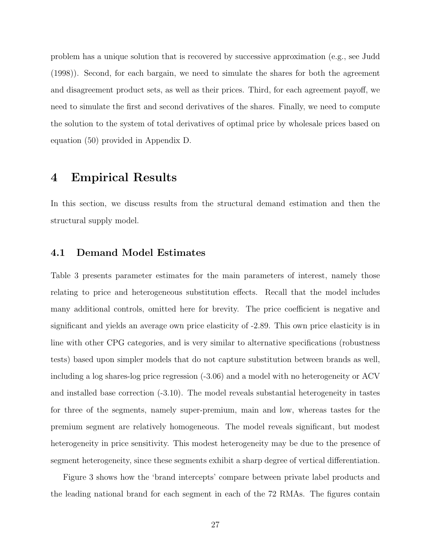problem has a unique solution that is recovered by successive approximation (e.g., see Judd (1998)). Second, for each bargain, we need to simulate the shares for both the agreement and disagreement product sets, as well as their prices. Third, for each agreement payoff, we need to simulate the first and second derivatives of the shares. Finally, we need to compute the solution to the system of total derivatives of optimal price by wholesale prices based on equation (50) provided in Appendix D.

### 4 Empirical Results

In this section, we discuss results from the structural demand estimation and then the structural supply model.

### 4.1 Demand Model Estimates

Table 3 presents parameter estimates for the main parameters of interest, namely those relating to price and heterogeneous substitution effects. Recall that the model includes many additional controls, omitted here for brevity. The price coefficient is negative and significant and yields an average own price elasticity of -2.89. This own price elasticity is in line with other CPG categories, and is very similar to alternative specifications (robustness tests) based upon simpler models that do not capture substitution between brands as well, including a log shares-log price regression (-3.06) and a model with no heterogeneity or ACV and installed base correction (-3.10). The model reveals substantial heterogeneity in tastes for three of the segments, namely super-premium, main and low, whereas tastes for the premium segment are relatively homogeneous. The model reveals significant, but modest heterogeneity in price sensitivity. This modest heterogeneity may be due to the presence of segment heterogeneity, since these segments exhibit a sharp degree of vertical differentiation.

Figure 3 shows how the 'brand intercepts' compare between private label products and the leading national brand for each segment in each of the 72 RMAs. The figures contain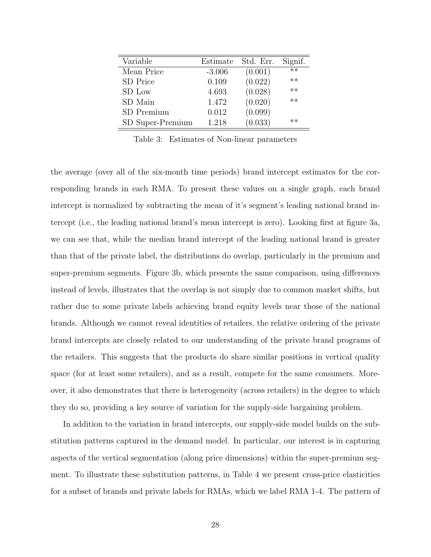| Variable         | Estimate | Std. Err. | Signif. |
|------------------|----------|-----------|---------|
| Mean Price       | $-3.006$ | (0.001)   | $**$    |
| SD Price         | 0.109    | (0.022)   | $**$    |
| SD Low           | 4.693    | (0.028)   | $**$    |
| SD Main          | 1.472    | (0.020)   | $**$    |
| SD Premium       | 0.012    | (0.099)   |         |
| SD Super-Premium | 1.218    | (0.033)   | $**$    |

Table 3: Estimates of Non-linear parameters

the average (over all of the six-month time periods) brand intercept estimates for the corresponding brands in each RMA. To present these values on a single graph, each brand intercept is normalized by subtracting the mean of it's segment's leading national brand intercept (i.e., the leading national brand's mean intercept is zero). Looking first at figure 3a, we can see that, while the median brand intercept of the leading national brand is greater than that of the private label, the distributions do overlap, particularly in the premium and super-premium segments. Figure 3b, which presents the same comparison, using differences instead of levels, illustrates that the overlap is not simply due to common market shifts, but rather due to some private labels achieving brand equity levels near those of the national brands. Although we cannot reveal identities of retailers, the relative ordering of the private brand intercepts are closely related to our understanding of the private brand programs of the retailers. This suggests that the products do share similar positions in vertical quality space (for at least some retailers), and as a result, compete for the same consumers. Moreover, it also demonstrates that there is heterogeneity (across retailers) in the degree to which they do so, providing a key source of variation for the supply-side bargaining problem.

In addition to the variation in brand intercepts, our supply-side model builds on the substitution patterns captured in the demand model. In particular, our interest is in capturing aspects of the vertical segmentation (along price dimensions) within the super-premium segment. To illustrate these substitution patterns, in Table 4 we present cross-price elasticities for a subset of brands and private labels for RMAs, which we label RMA 1-4. The pattern of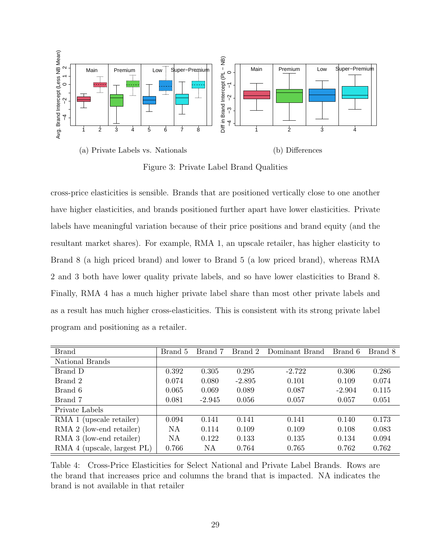

Figure 3: Private Label Brand Qualities

cross-price elasticities is sensible. Brands that are positioned vertically close to one another have higher elasticities, and brands positioned further apart have lower elasticities. Private labels have meaningful variation because of their price positions and brand equity (and the resultant market shares). For example, RMA 1, an upscale retailer, has higher elasticity to Brand 8 (a high priced brand) and lower to Brand 5 (a low priced brand), whereas RMA 2 and 3 both have lower quality private labels, and so have lower elasticities to Brand 8. Finally, RMA 4 has a much higher private label share than most other private labels and as a result has much higher cross-elasticities. This is consistent with its strong private label program and positioning as a retailer.

| <b>Brand</b>                | Brand 5 | Brand 7  | Brand 2  | Dominant Brand | Brand 6  | Brand 8 |
|-----------------------------|---------|----------|----------|----------------|----------|---------|
| National Brands             |         |          |          |                |          |         |
| Brand D                     | 0.392   | 0.305    | 0.295    | $-2.722$       | 0.306    | 0.286   |
| Brand 2                     | 0.074   | 0.080    | $-2.895$ | 0.101          | 0.109    | 0.074   |
| Brand 6                     | 0.065   | 0.069    | 0.089    | 0.087          | $-2.904$ | 0.115   |
| Brand 7                     | 0.081   | $-2.945$ | 0.056    | 0.057          | 0.057    | 0.051   |
| Private Labels              |         |          |          |                |          |         |
| RMA 1 (upscale retailer)    | 0.094   | 0.141    | 0.141    | 0.141          | 0.140    | 0.173   |
| RMA 2 (low-end retailer)    | NA      | 0.114    | 0.109    | 0.109          | 0.108    | 0.083   |
| RMA 3 (low-end retailer)    | NA      | 0.122    | 0.133    | 0.135          | 0.134    | 0.094   |
| RMA 4 (upscale, largest PL) | 0.766   | NA       | 0.764    | 0.765          | 0.762    | 0.762   |

Table 4: Cross-Price Elasticities for Select National and Private Label Brands. Rows are the brand that increases price and columns the brand that is impacted. NA indicates the brand is not available in that retailer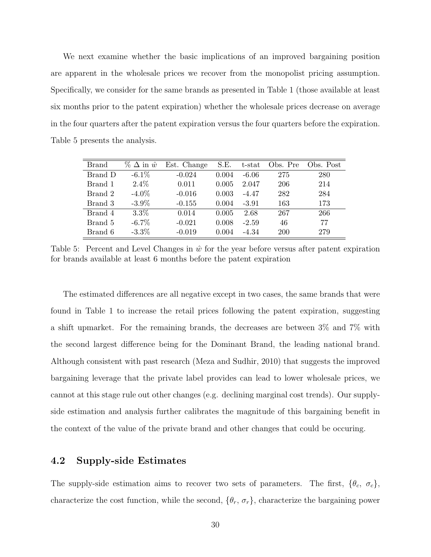We next examine whether the basic implications of an improved bargaining position are apparent in the wholesale prices we recover from the monopolist pricing assumption. Specifically, we consider for the same brands as presented in Table 1 (those available at least six months prior to the patent expiration) whether the wholesale prices decrease on average in the four quarters after the patent expiration versus the four quarters before the expiration. Table 5 presents the analysis.

| <b>Brand</b> | $\%$ $\Delta$ in $\hat{w}$ | Est. Change | S.E.  | t-stat  | Obs. Pre | Obs. Post |
|--------------|----------------------------|-------------|-------|---------|----------|-----------|
| Brand D      | $-6.1\%$                   | $-0.024$    | 0.004 | $-6.06$ | 275      | 280       |
| Brand 1      | $2.4\%$                    | 0.011       | 0.005 | 2.047   | 206      | 214       |
| Brand 2      | $-4.0\%$                   | $-0.016$    | 0.003 | $-4.47$ | 282      | 284       |
| Brand 3      | $-3.9\%$                   | $-0.155$    | 0.004 | $-3.91$ | 163      | 173       |
| Brand 4      | $3.3\%$                    | 0.014       | 0.005 | 2.68    | 267      | 266       |
| Brand 5      | $-6.7\%$                   | $-0.021$    | 0.008 | $-2.59$ | 46       | 77        |
| Brand 6      | $-3.3\%$                   | $-0.019$    | 0.004 | $-4.34$ | 200      | 279       |

Table 5: Percent and Level Changes in  $\hat{w}$  for the year before versus after patent expiration for brands available at least 6 months before the patent expiration

The estimated differences are all negative except in two cases, the same brands that were found in Table 1 to increase the retail prices following the patent expiration, suggesting a shift upmarket. For the remaining brands, the decreases are between 3% and 7% with the second largest difference being for the Dominant Brand, the leading national brand. Although consistent with past research (Meza and Sudhir, 2010) that suggests the improved bargaining leverage that the private label provides can lead to lower wholesale prices, we cannot at this stage rule out other changes (e.g. declining marginal cost trends). Our supplyside estimation and analysis further calibrates the magnitude of this bargaining benefit in the context of the value of the private brand and other changes that could be occuring.

#### 4.2 Supply-side Estimates

The supply-side estimation aims to recover two sets of parameters. The first,  $\{\theta_c, \sigma_c\}$ , characterize the cost function, while the second,  $\{\theta_r, \sigma_r\}$ , characterize the bargaining power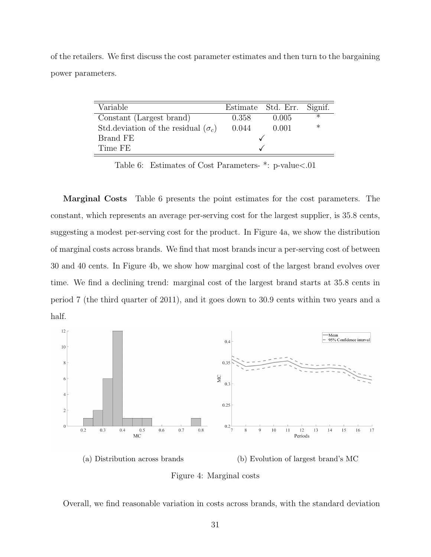of the retailers. We first discuss the cost parameter estimates and then turn to the bargaining power parameters.

| Variable                                    |       | Estimate Std. Err. Signif. |         |
|---------------------------------------------|-------|----------------------------|---------|
| Constant (Largest brand)                    | 0.358 | 0.005                      | $\ast$  |
| Std. deviation of the residual $(\sigma_c)$ | 0.044 | 0.001                      | $^\ast$ |
| Brand FE                                    |       |                            |         |
| Time FE                                     |       |                            |         |

Table 6: Estimates of Cost Parameters- \*: p-value<.01

Marginal Costs Table 6 presents the point estimates for the cost parameters. The constant, which represents an average per-serving cost for the largest supplier, is 35.8 cents, suggesting a modest per-serving cost for the product. In Figure 4a, we show the distribution of marginal costs across brands. We find that most brands incur a per-serving cost of between 30 and 40 cents. In Figure 4b, we show how marginal cost of the largest brand evolves over time. We find a declining trend: marginal cost of the largest brand starts at 35.8 cents in period 7 (the third quarter of 2011), and it goes down to 30.9 cents within two years and a half.



(a) Distribution across brands (b) Evolution of largest brand's MC

Figure 4: Marginal costs

Overall, we find reasonable variation in costs across brands, with the standard deviation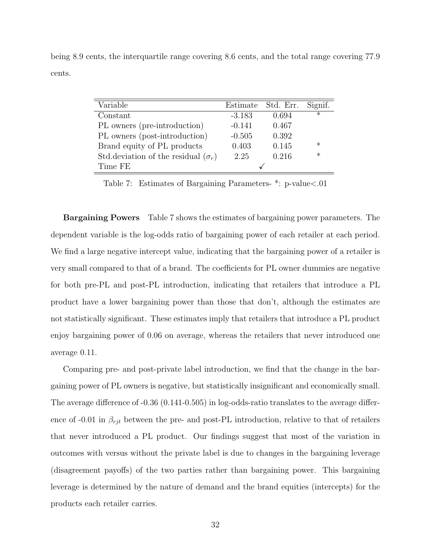being 8.9 cents, the interquartile range covering 8.6 cents, and the total range covering 77.9 cents.

| Variable                                    |          | Estimate Std. Err. | Signif. |
|---------------------------------------------|----------|--------------------|---------|
| Constant                                    | $-3.183$ | 0.694              | $\ast$  |
| PL owners (pre-introduction)                | $-0.141$ | 0.467              |         |
| PL owners (post-introduction)               | $-0.505$ | 0.392              |         |
| Brand equity of PL products                 | 0.403    | 0.145              | $\ast$  |
| Std. deviation of the residual $(\sigma_r)$ | 2.25     | 0.216              | $\ast$  |
| Time FE                                     |          |                    |         |

Table 7: Estimates of Bargaining Parameters- \*: p-value<.01

**Bargaining Powers** Table 7 shows the estimates of bargaining power parameters. The dependent variable is the log-odds ratio of bargaining power of each retailer at each period. We find a large negative intercept value, indicating that the bargaining power of a retailer is very small compared to that of a brand. The coefficients for PL owner dummies are negative for both pre-PL and post-PL introduction, indicating that retailers that introduce a PL product have a lower bargaining power than those that don't, although the estimates are not statistically significant. These estimates imply that retailers that introduce a PL product enjoy bargaining power of 0.06 on average, whereas the retailers that never introduced one average 0.11.

Comparing pre- and post-private label introduction, we find that the change in the bargaining power of PL owners is negative, but statistically insignificant and economically small. The average difference of -0.36 (0.141-0.505) in log-odds-ratio translates to the average difference of -0.01 in  $\beta_{rjt}$  between the pre- and post-PL introduction, relative to that of retailers that never introduced a PL product. Our findings suggest that most of the variation in outcomes with versus without the private label is due to changes in the bargaining leverage (disagreement payoffs) of the two parties rather than bargaining power. This bargaining leverage is determined by the nature of demand and the brand equities (intercepts) for the products each retailer carries.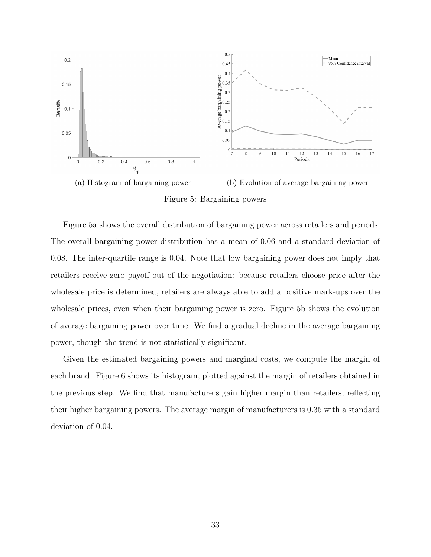

Figure 5: Bargaining powers

Figure 5a shows the overall distribution of bargaining power across retailers and periods. The overall bargaining power distribution has a mean of 0.06 and a standard deviation of 0.08. The inter-quartile range is 0.04. Note that low bargaining power does not imply that retailers receive zero payoff out of the negotiation: because retailers choose price after the wholesale price is determined, retailers are always able to add a positive mark-ups over the wholesale prices, even when their bargaining power is zero. Figure 5b shows the evolution of average bargaining power over time. We find a gradual decline in the average bargaining power, though the trend is not statistically significant.

Given the estimated bargaining powers and marginal costs, we compute the margin of each brand. Figure 6 shows its histogram, plotted against the margin of retailers obtained in the previous step. We find that manufacturers gain higher margin than retailers, reflecting their higher bargaining powers. The average margin of manufacturers is 0.35 with a standard deviation of 0.04.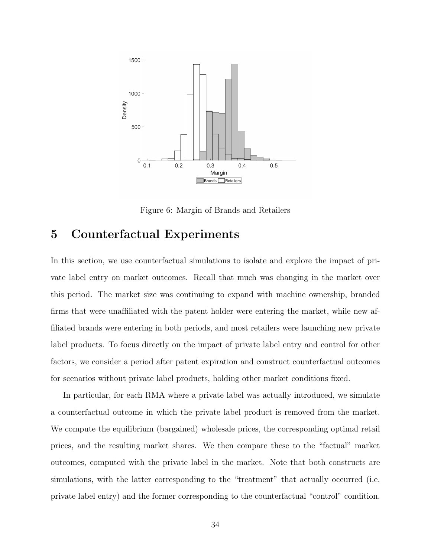

Figure 6: Margin of Brands and Retailers

## 5 Counterfactual Experiments

In this section, we use counterfactual simulations to isolate and explore the impact of private label entry on market outcomes. Recall that much was changing in the market over this period. The market size was continuing to expand with machine ownership, branded firms that were unaffiliated with the patent holder were entering the market, while new affiliated brands were entering in both periods, and most retailers were launching new private label products. To focus directly on the impact of private label entry and control for other factors, we consider a period after patent expiration and construct counterfactual outcomes for scenarios without private label products, holding other market conditions fixed.

In particular, for each RMA where a private label was actually introduced, we simulate a counterfactual outcome in which the private label product is removed from the market. We compute the equilibrium (bargained) wholesale prices, the corresponding optimal retail prices, and the resulting market shares. We then compare these to the "factual" market outcomes, computed with the private label in the market. Note that both constructs are simulations, with the latter corresponding to the "treatment" that actually occurred (i.e. private label entry) and the former corresponding to the counterfactual "control" condition.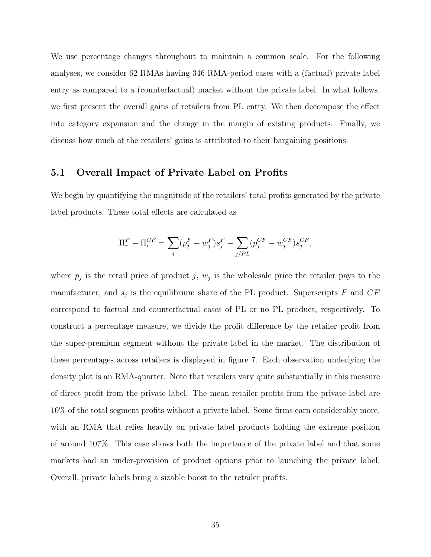We use percentage changes throughout to maintain a common scale. For the following analyses, we consider 62 RMAs having 346 RMA-period cases with a (factual) private label entry as compared to a (counterfactual) market without the private label. In what follows, we first present the overall gains of retailers from PL entry. We then decompose the effect into category expansion and the change in the margin of existing products. Finally, we discuss how much of the retailers' gains is attributed to their bargaining positions.

#### 5.1 Overall Impact of Private Label on Profits

We begin by quantifying the magnitude of the retailers' total profits generated by the private label products. These total effects are calculated as

$$
\Pi_r^F - \Pi_r^{CF} = \sum_j (p_j^F - w_j^F) s_j^F - \sum_{j/PL} (p_j^{CF} - w_j^{CF}) s_j^{CF},
$$

where  $p_j$  is the retail price of product j,  $w_j$  is the wholesale price the retailer pays to the manufacturer, and  $s_j$  is the equilibrium share of the PL product. Superscripts F and  $CF$ correspond to factual and counterfactual cases of PL or no PL product, respectively. To construct a percentage measure, we divide the profit difference by the retailer profit from the super-premium segment without the private label in the market. The distribution of these percentages across retailers is displayed in figure 7. Each observation underlying the density plot is an RMA-quarter. Note that retailers vary quite substantially in this measure of direct profit from the private label. The mean retailer profits from the private label are 10% of the total segment profits without a private label. Some firms earn considerably more, with an RMA that relies heavily on private label products holding the extreme position of around 107%. This case shows both the importance of the private label and that some markets had an under-provision of product options prior to launching the private label. Overall, private labels bring a sizable boost to the retailer profits.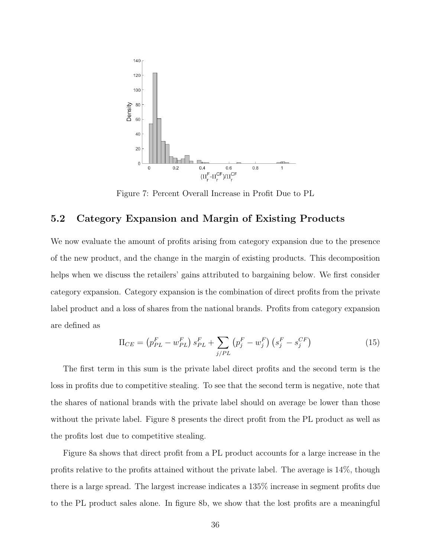

Figure 7: Percent Overall Increase in Profit Due to PL

#### 5.2 Category Expansion and Margin of Existing Products

We now evaluate the amount of profits arising from category expansion due to the presence of the new product, and the change in the margin of existing products. This decomposition helps when we discuss the retailers' gains attributed to bargaining below. We first consider category expansion. Category expansion is the combination of direct profits from the private label product and a loss of shares from the national brands. Profits from category expansion are defined as

$$
\Pi_{CE} = (p_{PL}^F - w_{PL}^F) s_{PL}^F + \sum_{j/PL} (p_j^F - w_j^F) (s_j^F - s_j^{CF})
$$
\n(15)

The first term in this sum is the private label direct profits and the second term is the loss in profits due to competitive stealing. To see that the second term is negative, note that the shares of national brands with the private label should on average be lower than those without the private label. Figure 8 presents the direct profit from the PL product as well as the profits lost due to competitive stealing.

Figure 8a shows that direct profit from a PL product accounts for a large increase in the profits relative to the profits attained without the private label. The average is 14%, though there is a large spread. The largest increase indicates a 135% increase in segment profits due to the PL product sales alone. In figure 8b, we show that the lost profits are a meaningful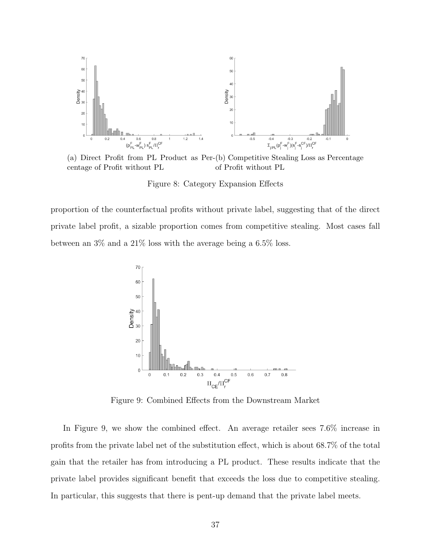

(a) Direct Profit from PL Product as Per-(b) Competitive Stealing Loss as Percentage centage of Profit without PL of Profit without PL

Figure 8: Category Expansion Effects

proportion of the counterfactual profits without private label, suggesting that of the direct private label profit, a sizable proportion comes from competitive stealing. Most cases fall between an 3% and a 21% loss with the average being a 6.5% loss.



Figure 9: Combined Effects from the Downstream Market

In Figure 9, we show the combined effect. An average retailer sees 7.6% increase in profits from the private label net of the substitution effect, which is about 68.7% of the total gain that the retailer has from introducing a PL product. These results indicate that the private label provides significant benefit that exceeds the loss due to competitive stealing. In particular, this suggests that there is pent-up demand that the private label meets.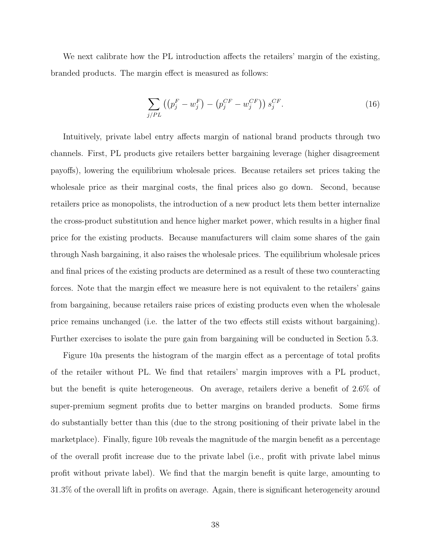We next calibrate how the PL introduction affects the retailers' margin of the existing, branded products. The margin effect is measured as follows:

$$
\sum_{j/PL} \left( \left( p_j^F - w_j^F \right) - \left( p_j^{CF} - w_j^{CF} \right) \right) s_j^{CF}.
$$
\n(16)

Intuitively, private label entry affects margin of national brand products through two channels. First, PL products give retailers better bargaining leverage (higher disagreement payoffs), lowering the equilibrium wholesale prices. Because retailers set prices taking the wholesale price as their marginal costs, the final prices also go down. Second, because retailers price as monopolists, the introduction of a new product lets them better internalize the cross-product substitution and hence higher market power, which results in a higher final price for the existing products. Because manufacturers will claim some shares of the gain through Nash bargaining, it also raises the wholesale prices. The equilibrium wholesale prices and final prices of the existing products are determined as a result of these two counteracting forces. Note that the margin effect we measure here is not equivalent to the retailers' gains from bargaining, because retailers raise prices of existing products even when the wholesale price remains unchanged (i.e. the latter of the two effects still exists without bargaining). Further exercises to isolate the pure gain from bargaining will be conducted in Section 5.3.

Figure 10a presents the histogram of the margin effect as a percentage of total profits of the retailer without PL. We find that retailers' margin improves with a PL product, but the benefit is quite heterogeneous. On average, retailers derive a benefit of 2.6% of super-premium segment profits due to better margins on branded products. Some firms do substantially better than this (due to the strong positioning of their private label in the marketplace). Finally, figure 10b reveals the magnitude of the margin benefit as a percentage of the overall profit increase due to the private label (i.e., profit with private label minus profit without private label). We find that the margin benefit is quite large, amounting to 31.3% of the overall lift in profits on average. Again, there is significant heterogeneity around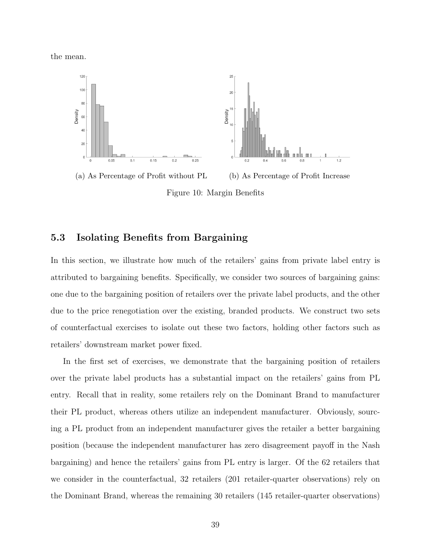the mean.



(a) As Percentage of Profit without PL (b) As Percentage of Profit Increase

Figure 10: Margin Benefits

### 5.3 Isolating Benefits from Bargaining

In this section, we illustrate how much of the retailers' gains from private label entry is attributed to bargaining benefits. Specifically, we consider two sources of bargaining gains: one due to the bargaining position of retailers over the private label products, and the other due to the price renegotiation over the existing, branded products. We construct two sets of counterfactual exercises to isolate out these two factors, holding other factors such as retailers' downstream market power fixed.

In the first set of exercises, we demonstrate that the bargaining position of retailers over the private label products has a substantial impact on the retailers' gains from PL entry. Recall that in reality, some retailers rely on the Dominant Brand to manufacturer their PL product, whereas others utilize an independent manufacturer. Obviously, sourcing a PL product from an independent manufacturer gives the retailer a better bargaining position (because the independent manufacturer has zero disagreement payoff in the Nash bargaining) and hence the retailers' gains from PL entry is larger. Of the 62 retailers that we consider in the counterfactual, 32 retailers (201 retailer-quarter observations) rely on the Dominant Brand, whereas the remaining 30 retailers (145 retailer-quarter observations)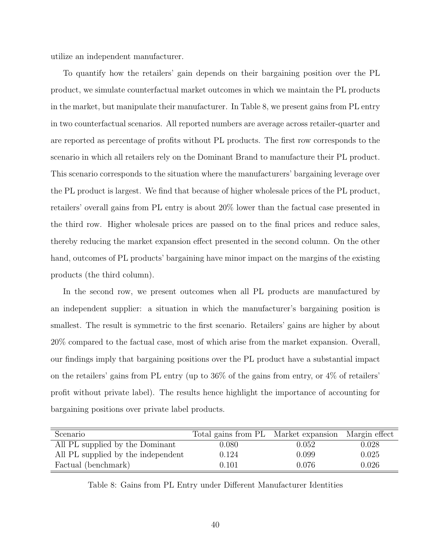utilize an independent manufacturer.

To quantify how the retailers' gain depends on their bargaining position over the PL product, we simulate counterfactual market outcomes in which we maintain the PL products in the market, but manipulate their manufacturer. In Table 8, we present gains from PL entry in two counterfactual scenarios. All reported numbers are average across retailer-quarter and are reported as percentage of profits without PL products. The first row corresponds to the scenario in which all retailers rely on the Dominant Brand to manufacture their PL product. This scenario corresponds to the situation where the manufacturers' bargaining leverage over the PL product is largest. We find that because of higher wholesale prices of the PL product, retailers' overall gains from PL entry is about 20% lower than the factual case presented in the third row. Higher wholesale prices are passed on to the final prices and reduce sales, thereby reducing the market expansion effect presented in the second column. On the other hand, outcomes of PL products' bargaining have minor impact on the margins of the existing products (the third column).

In the second row, we present outcomes when all PL products are manufactured by an independent supplier: a situation in which the manufacturer's bargaining position is smallest. The result is symmetric to the first scenario. Retailers' gains are higher by about 20% compared to the factual case, most of which arise from the market expansion. Overall, our findings imply that bargaining positions over the PL product have a substantial impact on the retailers' gains from PL entry (up to 36% of the gains from entry, or 4% of retailers' profit without private label). The results hence highlight the importance of accounting for bargaining positions over private label products.

| Scenario                           | Total gains from PL Market expansion Margin effect |       |       |
|------------------------------------|----------------------------------------------------|-------|-------|
| All PL supplied by the Dominant    | 0.080                                              | 0.052 | 0.028 |
| All PL supplied by the independent | 0.124                                              | 0.099 | 0.025 |
| Factual (benchmark)                | 0.101                                              | 0.076 | 0.026 |

Table 8: Gains from PL Entry under Different Manufacturer Identities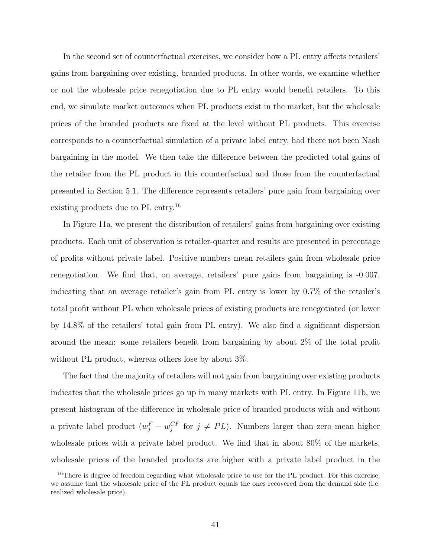In the second set of counterfactual exercises, we consider how a PL entry affects retailers' gains from bargaining over existing, branded products. In other words, we examine whether or not the wholesale price renegotiation due to PL entry would benefit retailers. To this end, we simulate market outcomes when PL products exist in the market, but the wholesale prices of the branded products are fixed at the level without PL products. This exercise corresponds to a counterfactual simulation of a private label entry, had there not been Nash bargaining in the model. We then take the difference between the predicted total gains of the retailer from the PL product in this counterfactual and those from the counterfactual presented in Section 5.1. The difference represents retailers' pure gain from bargaining over existing products due to PL entry.<sup>16</sup>

In Figure 11a, we present the distribution of retailers' gains from bargaining over existing products. Each unit of observation is retailer-quarter and results are presented in percentage of profits without private label. Positive numbers mean retailers gain from wholesale price renegotiation. We find that, on average, retailers' pure gains from bargaining is -0.007, indicating that an average retailer's gain from PL entry is lower by 0.7% of the retailer's total profit without PL when wholesale prices of existing products are renegotiated (or lower by 14.8% of the retailers' total gain from PL entry). We also find a significant dispersion around the mean: some retailers benefit from bargaining by about 2% of the total profit without PL product, whereas others lose by about 3%.

The fact that the majority of retailers will not gain from bargaining over existing products indicates that the wholesale prices go up in many markets with PL entry. In Figure 11b, we present histogram of the difference in wholesale price of branded products with and without a private label product  $(w_j^F - w_j^{CF}$  for  $j \neq PL$ ). Numbers larger than zero mean higher wholesale prices with a private label product. We find that in about 80% of the markets, wholesale prices of the branded products are higher with a private label product in the

<sup>&</sup>lt;sup>16</sup>There is degree of freedom regarding what wholesale price to use for the PL product. For this exercise, we assume that the wholesale price of the PL product equals the ones recovered from the demand side (i.e. realized wholesale price).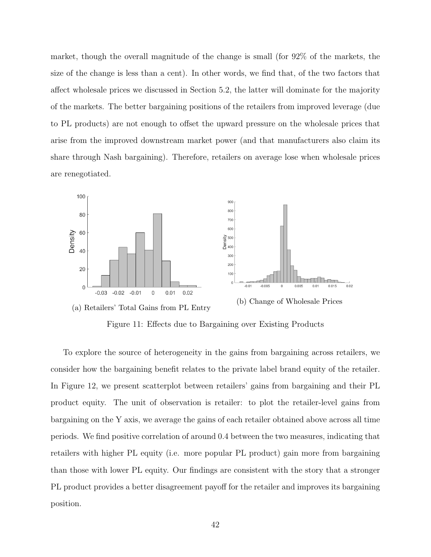market, though the overall magnitude of the change is small (for 92% of the markets, the size of the change is less than a cent). In other words, we find that, of the two factors that affect wholesale prices we discussed in Section 5.2, the latter will dominate for the majority of the markets. The better bargaining positions of the retailers from improved leverage (due to PL products) are not enough to offset the upward pressure on the wholesale prices that arise from the improved downstream market power (and that manufacturers also claim its share through Nash bargaining). Therefore, retailers on average lose when wholesale prices are renegotiated.



Figure 11: Effects due to Bargaining over Existing Products

To explore the source of heterogeneity in the gains from bargaining across retailers, we consider how the bargaining benefit relates to the private label brand equity of the retailer. In Figure 12, we present scatterplot between retailers' gains from bargaining and their PL product equity. The unit of observation is retailer: to plot the retailer-level gains from bargaining on the Y axis, we average the gains of each retailer obtained above across all time periods. We find positive correlation of around 0.4 between the two measures, indicating that retailers with higher PL equity (i.e. more popular PL product) gain more from bargaining than those with lower PL equity. Our findings are consistent with the story that a stronger PL product provides a better disagreement payoff for the retailer and improves its bargaining position.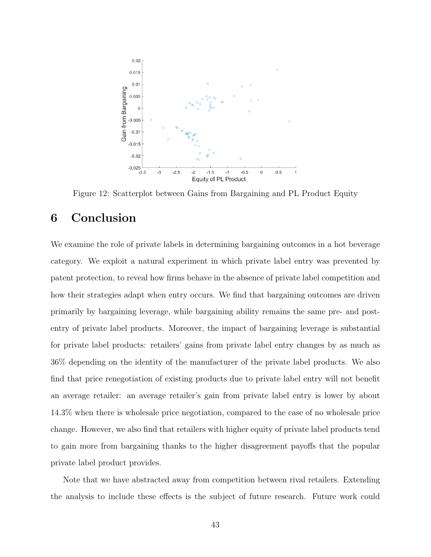

Figure 12: Scatterplot between Gains from Bargaining and PL Product Equity

### 6 Conclusion

We examine the role of private labels in determining bargaining outcomes in a hot beverage category. We exploit a natural experiment in which private label entry was prevented by patent protection, to reveal how firms behave in the absence of private label competition and how their strategies adapt when entry occurs. We find that bargaining outcomes are driven primarily by bargaining leverage, while bargaining ability remains the same pre- and postentry of private label products. Moreover, the impact of bargaining leverage is substantial for private label products: retailers' gains from private label entry changes by as much as 36% depending on the identity of the manufacturer of the private label products. We also find that price renegotiation of existing products due to private label entry will not benefit an average retailer: an average retailer's gain from private label entry is lower by about 14.3% when there is wholesale price negotiation, compared to the case of no wholesale price change. However, we also find that retailers with higher equity of private label products tend to gain more from bargaining thanks to the higher disagreement payoffs that the popular private label product provides.

Note that we have abstracted away from competition between rival retailers. Extending the analysis to include these effects is the subject of future research. Future work could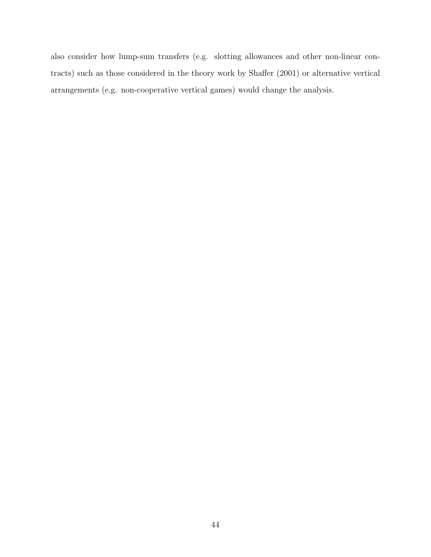also consider how lump-sum transfers (e.g. slotting allowances and other non-linear contracts) such as those considered in the theory work by Shaffer (2001) or alternative vertical arrangements (e.g. non-cooperative vertical games) would change the analysis.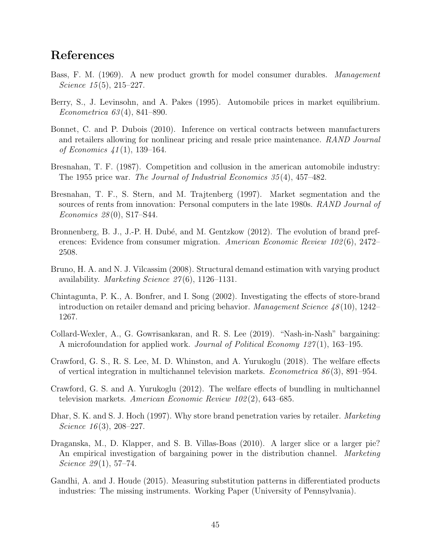## References

- Bass, F. M. (1969). A new product growth for model consumer durables. *Management* Science  $15(5)$ ,  $215-227$ .
- Berry, S., J. Levinsohn, and A. Pakes (1995). Automobile prices in market equilibrium. Econometrica 63 (4), 841–890.
- Bonnet, C. and P. Dubois (2010). Inference on vertical contracts between manufacturers and retailers allowing for nonlinear pricing and resale price maintenance. RAND Journal of Economics 41 (1), 139–164.
- Bresnahan, T. F. (1987). Competition and collusion in the american automobile industry: The 1955 price war. The Journal of Industrial Economics 35 (4), 457–482.
- Bresnahan, T. F., S. Stern, and M. Trajtenberg (1997). Market segmentation and the sources of rents from innovation: Personal computers in the late 1980s. RAND Journal of Economics 28 (0), S17–S44.
- Bronnenberg, B. J., J.-P. H. Dubé, and M. Gentzkow (2012). The evolution of brand preferences: Evidence from consumer migration. American Economic Review 102(6), 2472– 2508.
- Bruno, H. A. and N. J. Vilcassim (2008). Structural demand estimation with varying product availability. Marketing Science  $27(6)$ , 1126–1131.
- Chintagunta, P. K., A. Bonfrer, and I. Song (2002). Investigating the effects of store-brand introduction on retailer demand and pricing behavior. *Management Science 48* (10), 1242– 1267.
- Collard-Wexler, A., G. Gowrisankaran, and R. S. Lee (2019). "Nash-in-Nash" bargaining: A microfoundation for applied work. Journal of Political Economy 127(1), 163–195.
- Crawford, G. S., R. S. Lee, M. D. Whinston, and A. Yurukoglu (2018). The welfare effects of vertical integration in multichannel television markets. *Econometrica*  $86(3)$ , 891–954.
- Crawford, G. S. and A. Yurukoglu (2012). The welfare effects of bundling in multichannel television markets. American Economic Review 102 (2), 643–685.
- Dhar, S. K. and S. J. Hoch (1997). Why store brand penetration varies by retailer. *Marketing* Science  $16(3)$ , 208-227.
- Draganska, M., D. Klapper, and S. B. Villas-Boas (2010). A larger slice or a larger pie? An empirical investigation of bargaining power in the distribution channel. Marketing Science  $29(1)$ , 57-74.
- Gandhi, A. and J. Houde (2015). Measuring substitution patterns in differentiated products industries: The missing instruments. Working Paper (University of Pennsylvania).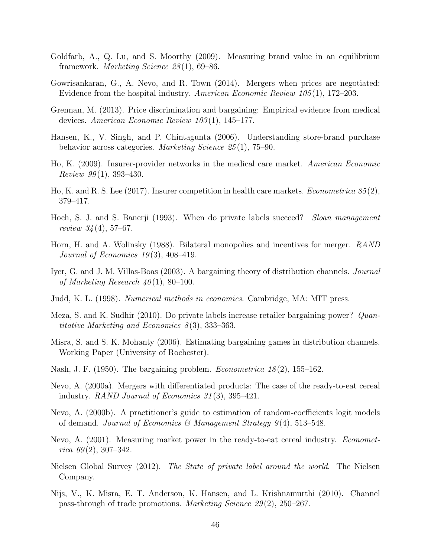- Goldfarb, A., Q. Lu, and S. Moorthy (2009). Measuring brand value in an equilibrium framework. Marketing Science 28 (1), 69–86.
- Gowrisankaran, G., A. Nevo, and R. Town (2014). Mergers when prices are negotiated: Evidence from the hospital industry. American Economic Review 105 (1), 172–203.
- Grennan, M. (2013). Price discrimination and bargaining: Empirical evidence from medical devices. American Economic Review 103 (1), 145–177.
- Hansen, K., V. Singh, and P. Chintagunta (2006). Understanding store-brand purchase behavior across categories. Marketing Science 25 (1), 75–90.
- Ho, K. (2009). Insurer-provider networks in the medical care market. American Economic Review  $99(1)$ , 393-430.
- Ho, K. and R. S. Lee (2017). Insurer competition in health care markets. *Econometrica*  $85(2)$ , 379–417.
- Hoch, S. J. and S. Banerji (1993). When do private labels succeed? Sloan management review  $34(4)$ , 57–67.
- Horn, H. and A. Wolinsky (1988). Bilateral monopolies and incentives for merger. RAND Journal of Economics 19(3), 408-419.
- Iyer, G. and J. M. Villas-Boas (2003). A bargaining theory of distribution channels. Journal of Marketing Research  $40(1)$ , 80-100.
- Judd, K. L. (1998). Numerical methods in economics. Cambridge, MA: MIT press.
- Meza, S. and K. Sudhir (2010). Do private labels increase retailer bargaining power? Quantitative Marketing and Economics  $8(3)$ , 333–363.
- Misra, S. and S. K. Mohanty (2006). Estimating bargaining games in distribution channels. Working Paper (University of Rochester).
- Nash, J. F. (1950). The bargaining problem. *Econometrica 18* $(2)$ , 155–162.
- Nevo, A. (2000a). Mergers with differentiated products: The case of the ready-to-eat cereal industry. RAND Journal of Economics 31 (3), 395–421.
- Nevo, A. (2000b). A practitioner's guide to estimation of random-coefficients logit models of demand. Journal of Economics & Management Strategy  $9(4)$ , 513-548.
- Nevo, A. (2001). Measuring market power in the ready-to-eat cereal industry. *Economet*rica 69 $(2)$ , 307–342.
- Nielsen Global Survey (2012). The State of private label around the world. The Nielsen Company.
- Nijs, V., K. Misra, E. T. Anderson, K. Hansen, and L. Krishnamurthi (2010). Channel pass-through of trade promotions. Marketing Science 29 (2), 250–267.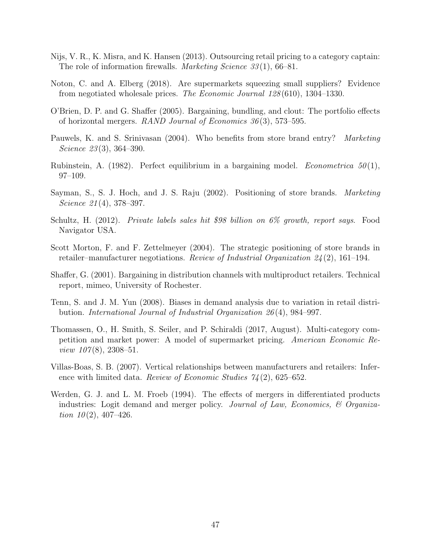- Nijs, V. R., K. Misra, and K. Hansen (2013). Outsourcing retail pricing to a category captain: The role of information firewalls. *Marketing Science 33*(1), 66–81.
- Noton, C. and A. Elberg (2018). Are supermarkets squeezing small suppliers? Evidence from negotiated wholesale prices. The Economic Journal 128 (610), 1304–1330.
- O'Brien, D. P. and G. Shaffer (2005). Bargaining, bundling, and clout: The portfolio effects of horizontal mergers. RAND Journal of Economics  $36(3)$ , 573–595.
- Pauwels, K. and S. Srinivasan (2004). Who benefits from store brand entry? Marketing Science  $23(3)$ , 364–390.
- Rubinstein, A. (1982). Perfect equilibrium in a bargaining model. *Econometrica*  $50(1)$ , 97–109.
- Sayman, S., S. J. Hoch, and J. S. Raju (2002). Positioning of store brands. Marketing Science 21(4), 378–397.
- Schultz, H. (2012). Private labels sales hit \$98 billion on 6% growth, report says. Food Navigator USA.
- Scott Morton, F. and F. Zettelmeyer (2004). The strategic positioning of store brands in retailer–manufacturer negotiations. Review of Industrial Organization  $24(2)$ , 161–194.
- Shaffer, G. (2001). Bargaining in distribution channels with multiproduct retailers. Technical report, mimeo, University of Rochester.
- Tenn, S. and J. M. Yun (2008). Biases in demand analysis due to variation in retail distribution. International Journal of Industrial Organization 26 (4), 984–997.
- Thomassen, O., H. Smith, S. Seiler, and P. Schiraldi (2017, August). Multi-category competition and market power: A model of supermarket pricing. American Economic Review  $107(8)$ , 2308-51.
- Villas-Boas, S. B. (2007). Vertical relationships between manufacturers and retailers: Inference with limited data. Review of Economic Studies  $74(2)$ , 625–652.
- Werden, G. J. and L. M. Froeb (1994). The effects of mergers in differentiated products industries: Logit demand and merger policy. Journal of Law, Economics,  $\mathcal B$  Organization  $10(2)$ , 407-426.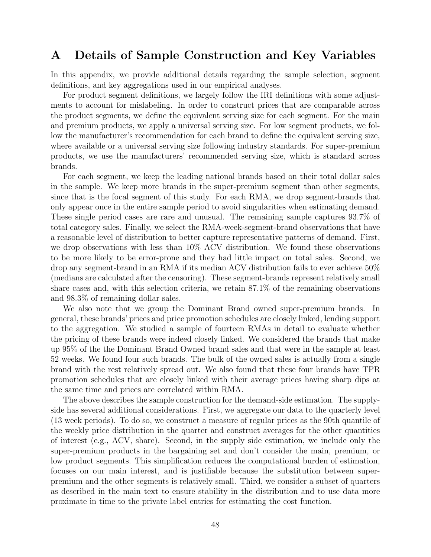### A Details of Sample Construction and Key Variables

In this appendix, we provide additional details regarding the sample selection, segment definitions, and key aggregations used in our empirical analyses.

For product segment definitions, we largely follow the IRI definitions with some adjustments to account for mislabeling. In order to construct prices that are comparable across the product segments, we define the equivalent serving size for each segment. For the main and premium products, we apply a universal serving size. For low segment products, we follow the manufacturer's recommendation for each brand to define the equivalent serving size, where available or a universal serving size following industry standards. For super-premium products, we use the manufacturers' recommended serving size, which is standard across brands.

For each segment, we keep the leading national brands based on their total dollar sales in the sample. We keep more brands in the super-premium segment than other segments, since that is the focal segment of this study. For each RMA, we drop segment-brands that only appear once in the entire sample period to avoid singularities when estimating demand. These single period cases are rare and unusual. The remaining sample captures 93.7% of total category sales. Finally, we select the RMA-week-segment-brand observations that have a reasonable level of distribution to better capture representative patterns of demand. First, we drop observations with less than 10% ACV distribution. We found these observations to be more likely to be error-prone and they had little impact on total sales. Second, we drop any segment-brand in an RMA if its median ACV distribution fails to ever achieve 50% (medians are calculated after the censoring). These segment-brands represent relatively small share cases and, with this selection criteria, we retain 87.1% of the remaining observations and 98.3% of remaining dollar sales.

We also note that we group the Dominant Brand owned super-premium brands. In general, these brands' prices and price promotion schedules are closely linked, lending support to the aggregation. We studied a sample of fourteen RMAs in detail to evaluate whether the pricing of these brands were indeed closely linked. We considered the brands that make up 95% of the the Dominant Brand Owned brand sales and that were in the sample at least 52 weeks. We found four such brands. The bulk of the owned sales is actually from a single brand with the rest relatively spread out. We also found that these four brands have TPR promotion schedules that are closely linked with their average prices having sharp dips at the same time and prices are correlated within RMA.

The above describes the sample construction for the demand-side estimation. The supplyside has several additional considerations. First, we aggregate our data to the quarterly level (13 week periods). To do so, we construct a measure of regular prices as the 90th quantile of the weekly price distribution in the quarter and construct averages for the other quantities of interest (e.g., ACV, share). Second, in the supply side estimation, we include only the super-premium products in the bargaining set and don't consider the main, premium, or low product segments. This simplification reduces the computational burden of estimation, focuses on our main interest, and is justifiable because the substitution between superpremium and the other segments is relatively small. Third, we consider a subset of quarters as described in the main text to ensure stability in the distribution and to use data more proximate in time to the private label entries for estimating the cost function.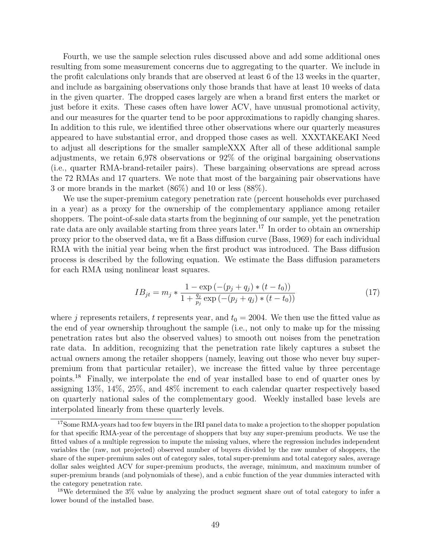Fourth, we use the sample selection rules discussed above and add some additional ones resulting from some measurement concerns due to aggregating to the quarter. We include in the profit calculations only brands that are observed at least 6 of the 13 weeks in the quarter, and include as bargaining observations only those brands that have at least 10 weeks of data in the given quarter. The dropped cases largely are when a brand first enters the market or just before it exits. These cases often have lower ACV, have unusual promotional activity, and our measures for the quarter tend to be poor approximations to rapidly changing shares. In addition to this rule, we identified three other observations where our quarterly measures appeared to have substantial error, and dropped those cases as well. XXXTAKEAKI Need to adjust all descriptions for the smaller sampleXXX After all of these additional sample adjustments, we retain 6,978 observations or 92% of the original bargaining observations (i.e., quarter RMA-brand-retailer pairs). These bargaining observations are spread across the 72 RMAs and 17 quarters. We note that most of the bargaining pair observations have 3 or more brands in the market (86%) and 10 or less (88%).

We use the super-premium category penetration rate (percent households ever purchased in a year) as a proxy for the ownership of the complementary appliance among retailer shoppers. The point-of-sale data starts from the beginning of our sample, yet the penetration rate data are only available starting from three years later.<sup>17</sup> In order to obtain an ownership proxy prior to the observed data, we fit a Bass diffusion curve (Bass, 1969) for each individual RMA with the initial year being when the first product was introduced. The Bass diffusion process is described by the following equation. We estimate the Bass diffusion parameters for each RMA using nonlinear least squares.

$$
IB_{jt} = m_j * \frac{1 - \exp(-(p_j + q_j) * (t - t_0))}{1 + \frac{q_j}{p_j} \exp(-(p_j + q_j) * (t - t_0))}
$$
\n
$$
(17)
$$

where j represents retailers, t represents year, and  $t_0 = 2004$ . We then use the fitted value as the end of year ownership throughout the sample (i.e., not only to make up for the missing penetration rates but also the observed values) to smooth out noises from the penetration rate data. In addition, recognizing that the penetration rate likely captures a subset the actual owners among the retailer shoppers (namely, leaving out those who never buy superpremium from that particular retailer), we increase the fitted value by three percentage points.<sup>18</sup> Finally, we interpolate the end of year installed base to end of quarter ones by assigning 13%, 14%, 25%, and 48% increment to each calendar quarter respectively based on quarterly national sales of the complementary good. Weekly installed base levels are interpolated linearly from these quarterly levels.

<sup>&</sup>lt;sup>17</sup>Some RMA-years had too few buyers in the IRI panel data to make a projection to the shopper population for that specific RMA-year of the percentage of shoppers that buy any super-premium products. We use the fitted values of a multiple regression to impute the missing values, where the regression includes independent variables the (raw, not projected) observed number of buyers divided by the raw number of shoppers, the share of the super-premium sales out of category sales, total super-premium and total category sales, average dollar sales weighted ACV for super-premium products, the average, minimum, and maximum number of super-premium brands (and polynomials of these), and a cubic function of the year dummies interacted with the category penetration rate.

<sup>&</sup>lt;sup>18</sup>We determined the 3% value by analyzing the product segment share out of total category to infer a lower bound of the installed base.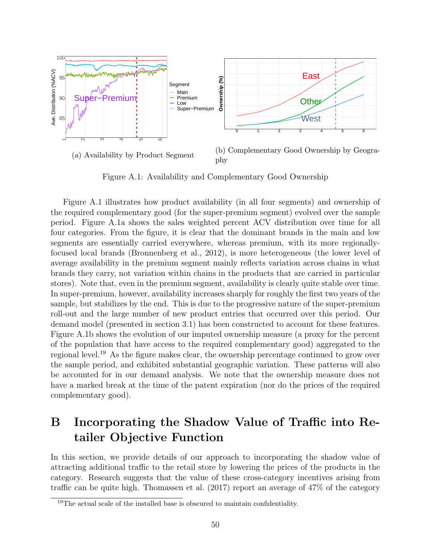

Figure A.1: Availability and Complementary Good Ownership

Figure A.1 illustrates how product availability (in all four segments) and ownership of the required complementary good (for the super-premium segment) evolved over the sample period. Figure A.1a shows the sales weighted percent ACV distribution over time for all four categories. From the figure, it is clear that the dominant brands in the main and low segments are essentially carried everywhere, whereas premium, with its more regionallyfocused local brands (Bronnenberg et al., 2012), is more heterogeneous (the lower level of average availability in the premium segment mainly reflects variation across chains in what brands they carry, not variation within chains in the products that are carried in particular stores). Note that, even in the premium segment, availability is clearly quite stable over time. In super-premium, however, availability increases sharply for roughly the first two years of the sample, but stabilizes by the end. This is due to the progressive nature of the super-premium roll-out and the large number of new product entries that occurred over this period. Our demand model (presented in section 3.1) has been constructed to account for these features. Figure A.1b shows the evolution of our imputed ownership measure (a proxy for the percent of the population that have access to the required complementary good) aggregated to the regional level.<sup>19</sup> As the figure makes clear, the ownership percentage continued to grow over the sample period, and exhibited substantial geographic variation. These patterns will also be accounted for in our demand analysis. We note that the ownership measure does not have a marked break at the time of the patent expiration (nor do the prices of the required complementary good).

# B Incorporating the Shadow Value of Traffic into Retailer Objective Function

In this section, we provide details of our approach to incorporating the shadow value of attracting additional traffic to the retail store by lowering the prices of the products in the category. Research suggests that the value of these cross-category incentives arising from traffic can be quite high. Thomassen et al. (2017) report an average of 47% of the category

<sup>&</sup>lt;sup>19</sup>The actual scale of the installed base is obscured to maintain confidentiality.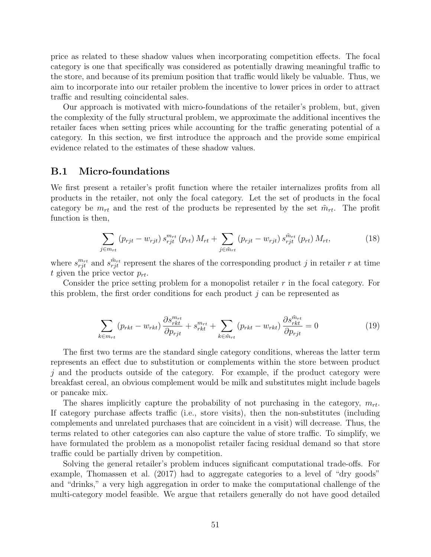price as related to these shadow values when incorporating competition effects. The focal category is one that specifically was considered as potentially drawing meaningful traffic to the store, and because of its premium position that traffic would likely be valuable. Thus, we aim to incorporate into our retailer problem the incentive to lower prices in order to attract traffic and resulting coincidental sales.

Our approach is motivated with micro-foundations of the retailer's problem, but, given the complexity of the fully structural problem, we approximate the additional incentives the retailer faces when setting prices while accounting for the traffic generating potential of a category. In this section, we first introduce the approach and the provide some empirical evidence related to the estimates of these shadow values.

#### B.1 Micro-foundations

We first present a retailer's profit function where the retailer internalizes profits from all products in the retailer, not only the focal category. Let the set of products in the focal category be  $m_{rt}$  and the rest of the products be represented by the set  $\tilde{m}_{rt}$ . The profit function is then,

$$
\sum_{j \in m_{rt}} \left( p_{rjt} - w_{rjt} \right) s_{rjt}^{m_{rt}} \left( p_{rt} \right) M_{rt} + \sum_{j \in \tilde{m}_{rt}} \left( p_{rjt} - w_{rjt} \right) s_{rjt}^{\tilde{m}_{rt}} \left( p_{rt} \right) M_{rt}, \tag{18}
$$

where  $s_{rjt}^{m_{rt}}$  and  $s_{rjt}^{\tilde{m}_{rt}}$  represent the shares of the corresponding product j in retailer r at time t given the price vector  $p_{rt}$ .

Consider the price setting problem for a monopolist retailer r in the focal category. For this problem, the first order conditions for each product  $j$  can be represented as

$$
\sum_{k \in m_{rt}} \left( p_{rkt} - w_{rkt} \right) \frac{\partial s_{rkt}^{m_{rt}}}{\partial p_{rjt}} + s_{rkt}^{m_{rt}} + \sum_{k \in \tilde{m}_{rt}} \left( p_{rkt} - w_{rkt} \right) \frac{\partial s_{rkt}^{\tilde{m}_{rt}}}{\partial p_{rjt}} = 0 \tag{19}
$$

The first two terms are the standard single category conditions, whereas the latter term represents an effect due to substitution or complements within the store between product j and the products outside of the category. For example, if the product category were breakfast cereal, an obvious complement would be milk and substitutes might include bagels or pancake mix.

The shares implicitly capture the probability of not purchasing in the category,  $m_{rt}$ . If category purchase affects traffic (i.e., store visits), then the non-substitutes (including complements and unrelated purchases that are coincident in a visit) will decrease. Thus, the terms related to other categories can also capture the value of store traffic. To simplify, we have formulated the problem as a monopolist retailer facing residual demand so that store traffic could be partially driven by competition.

Solving the general retailer's problem induces significant computational trade-offs. For example, Thomassen et al. (2017) had to aggregate categories to a level of "dry goods" and "drinks," a very high aggregation in order to make the computational challenge of the multi-category model feasible. We argue that retailers generally do not have good detailed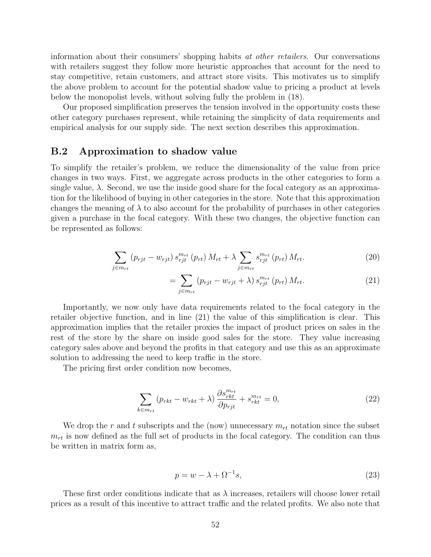information about their consumers' shopping habits at other retailers. Our conversations with retailers suggest they follow more heuristic approaches that account for the need to stay competitive, retain customers, and attract store visits. This motivates us to simplify the above problem to account for the potential shadow value to pricing a product at levels below the monopolist levels, without solving fully the problem in (18).

Our proposed simplification preserves the tension involved in the opportunity costs these other category purchases represent, while retaining the simplicity of data requirements and empirical analysis for our supply side. The next section describes this approximation.

#### B.2 Approximation to shadow value

To simplify the retailer's problem, we reduce the dimensionality of the value from price changes in two ways. First, we aggregate across products in the other categories to form a single value,  $\lambda$ . Second, we use the inside good share for the focal category as an approximation for the likelihood of buying in other categories in the store. Note that this approximation changes the meaning of  $\lambda$  to also account for the probability of purchases in other categories given a purchase in the focal category. With these two changes, the objective function can be represented as follows:

$$
\sum_{j \in m_{rt}} (p_{rjt} - w_{rjt}) s_{rjt}^{m_{rt}} (p_{rt}) M_{rt} + \lambda \sum_{j \in m_{rt}} s_{rjt}^{m_{rt}} (p_{rt}) M_{rt}.
$$
 (20)

$$
=\sum_{j\in m_{rt}}\left(p_{rjt}-w_{rjt}+\lambda\right)s_{rjt}^{m_{rt}}\left(p_{rt}\right)M_{rt}.\tag{21}
$$

Importantly, we now only have data requirements related to the focal category in the retailer objective function, and in line (21) the value of this simplification is clear. This approximation implies that the retailer proxies the impact of product prices on sales in the rest of the store by the share on inside good sales for the store. They value increasing category sales above and beyond the profits in that category and use this as an approximate solution to addressing the need to keep traffic in the store.

The pricing first order condition now becomes,

$$
\sum_{k \in m_{rt}} \left( p_{rkt} - w_{rkt} + \lambda \right) \frac{\partial s_{rkt}^{m_{rt}}}{\partial p_{rjt}} + s_{rkt}^{m_{rt}} = 0, \tag{22}
$$

We drop the r and t subscripts and the (now) unnecessary  $m_{rt}$  notation since the subset  $m_{rt}$  is now defined as the full set of products in the focal category. The condition can thus be written in matrix form as,

$$
p = w - \lambda + \Omega^{-1}s,\tag{23}
$$

These first order conditions indicate that as  $\lambda$  increases, retailers will choose lower retail prices as a result of this incentive to attract traffic and the related profits. We also note that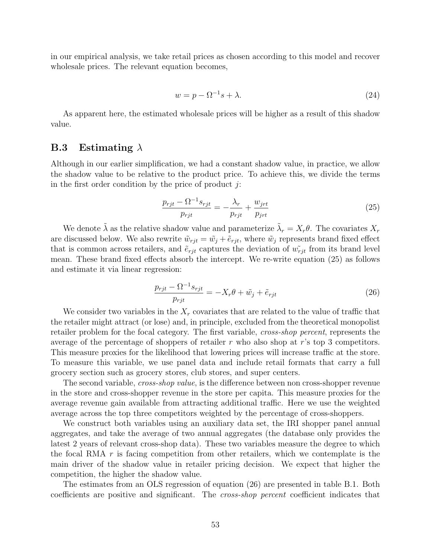in our empirical analysis, we take retail prices as chosen according to this model and recover wholesale prices. The relevant equation becomes,

$$
w = p - \Omega^{-1}s + \lambda. \tag{24}
$$

As apparent here, the estimated wholesale prices will be higher as a result of this shadow value.

#### **B.3** Estimating  $\lambda$

Although in our earlier simplification, we had a constant shadow value, in practice, we allow the shadow value to be relative to the product price. To achieve this, we divide the terms in the first order condition by the price of product  $i$ :

$$
\frac{p_{rjt} - \Omega^{-1} s_{rjt}}{p_{rjt}} = -\frac{\lambda_r}{p_{rjt}} + \frac{w_{jrt}}{p_{jrt}}\tag{25}
$$

We denote  $\tilde{\lambda}$  as the relative shadow value and parameterize  $\tilde{\lambda}_r = X_r \theta$ . The covariates  $X_r$ are discussed below. We also rewrite  $\tilde{w}_{rjt} = \tilde{w}_j + \tilde{e}_{rjt}$ , where  $\tilde{w}_j$  represents brand fixed effect that is common across retailers, and  $\tilde{e}_{rit}$  captures the deviation of  $\tilde{w}_{rit}$  from its brand level mean. These brand fixed effects absorb the intercept. We re-write equation (25) as follows and estimate it via linear regression:

$$
\frac{p_{rjt} - \Omega^{-1} s_{rjt}}{p_{rjt}} = -X_r \theta + \tilde{w}_j + \tilde{e}_{rjt}
$$
\n(26)

We consider two variables in the  $X_r$  covariates that are related to the value of traffic that the retailer might attract (or lose) and, in principle, excluded from the theoretical monopolist retailer problem for the focal category. The first variable, *cross-shop percent*, represents the average of the percentage of shoppers of retailer r who also shop at r's top 3 competitors. This measure proxies for the likelihood that lowering prices will increase traffic at the store. To measure this variable, we use panel data and include retail formats that carry a full grocery section such as grocery stores, club stores, and super centers.

The second variable, *cross-shop value*, is the difference between non cross-shopper revenue in the store and cross-shopper revenue in the store per capita. This measure proxies for the average revenue gain available from attracting additional traffic. Here we use the weighted average across the top three competitors weighted by the percentage of cross-shoppers.

We construct both variables using an auxiliary data set, the IRI shopper panel annual aggregates, and take the average of two annual aggregates (the database only provides the latest 2 years of relevant cross-shop data). These two variables measure the degree to which the focal RMA  $r$  is facing competition from other retailers, which we contemplate is the main driver of the shadow value in retailer pricing decision. We expect that higher the competition, the higher the shadow value.

The estimates from an OLS regression of equation (26) are presented in table B.1. Both coefficients are positive and significant. The cross-shop percent coefficient indicates that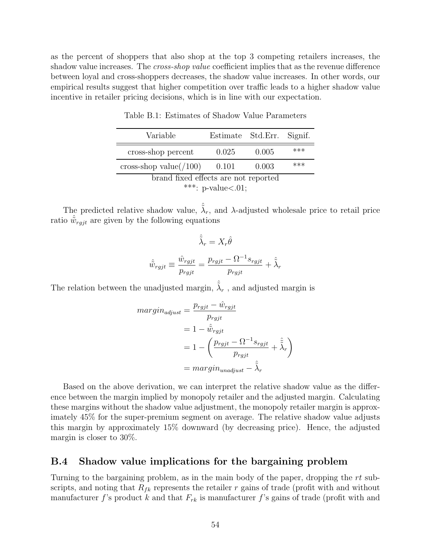as the percent of shoppers that also shop at the top 3 competing retailers increases, the shadow value increases. The *cross-shop value* coefficient implies that as the revenue difference between loyal and cross-shoppers decreases, the shadow value increases. In other words, our empirical results suggest that higher competition over traffic leads to a higher shadow value incentive in retailer pricing decisions, which is in line with our expectation.

| Variable                                                                                                                                                 | Estimate Std.Err. Signif. |       |       |  |  |
|----------------------------------------------------------------------------------------------------------------------------------------------------------|---------------------------|-------|-------|--|--|
| cross-shop percent                                                                                                                                       | 0.025                     | 0.005 | $***$ |  |  |
| cross-shop value $(100)$                                                                                                                                 | 0.101                     | 0.003 | $***$ |  |  |
| brand fixed effects are not reported<br>and the state of the contract of the contract of the contract of the contract of the contract of the contract of |                           |       |       |  |  |

Table B.1: Estimates of Shadow Value Parameters

\*\*\*: p-value $<.01$ ;

The predicted relative shadow value,  $\hat{\tilde{\lambda}}_r$ , and  $\lambda$ -adjusted wholesale price to retail price ratio  $\hat{w}_{rgjt}$  are given by the following equations

$$
\hat{\tilde{\lambda}}_r = X_r \hat{\theta}
$$

$$
\hat{\tilde{w}}_{rgjt} \equiv \frac{\hat{w}_{rgjt}}{p_{rgjt}} = \frac{p_{rgjt} - \Omega^{-1} s_{rgjt}}{p_{rgjt}} + \hat{\tilde{\lambda}}_r
$$

The relation between the unadjusted margin,  $\hat{\tilde{\lambda}}_r$  , and adjusted margin is

$$
margin_{adjust} = \frac{p_{rgjt} - \hat{w}_{rgjt}}{p_{rgjt}}
$$
  
=  $1 - \hat{\tilde{w}}_{rgjt}$   
=  $1 - \left(\frac{p_{rgjt} - \Omega^{-1} s_{rgjt}}{p_{rgjt}} + \hat{\tilde{\lambda}}_r\right)$   
= 
$$
margin_{unadjust} - \hat{\tilde{\lambda}}_r
$$

Based on the above derivation, we can interpret the relative shadow value as the difference between the margin implied by monopoly retailer and the adjusted margin. Calculating these margins without the shadow value adjustment, the monopoly retailer margin is approximately 45% for the super-premium segment on average. The relative shadow value adjusts this margin by approximately 15% downward (by decreasing price). Hence, the adjusted margin is closer to 30%.

### B.4 Shadow value implications for the bargaining problem

Turning to the bargaining problem, as in the main body of the paper, dropping the rt subscripts, and noting that  $R_{fk}$  represents the retailer r gains of trade (profit with and without manufacturer f's product k and that  $F_{rk}$  is manufacturer f's gains of trade (profit with and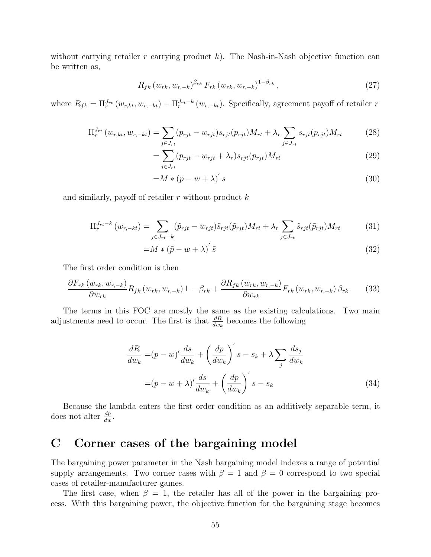without carrying retailer r carrying product  $k$ ). The Nash-in-Nash objective function can be written as,

$$
R_{fk} (w_{rk}, w_{r,-k})^{\beta_{rk}} F_{rk} (w_{rk}, w_{r,-k})^{1-\beta_{rk}}, \qquad (27)
$$

where  $R_{fk} = \prod_{r}^{J_{rt}} (w_{r,kt}, w_{r,-kt}) - \prod_{r}^{J_{rt}-k} (w_{r,-kt})$ . Specifically, agreement payoff of retailer r

$$
\Pi_r^{J_{rt}}(w_{r,kt}, w_{r,-kt}) = \sum_{j \in J_{rt}} (p_{rjt} - w_{rjt}) s_{rjt}(p_{rjt}) M_{rt} + \lambda_r \sum_{j \in J_{rt}} s_{rjt}(p_{rjt}) M_{rt}
$$
(28)

$$
=\sum_{j\in J_{rt}}(p_{rjt}-w_{rjt}+\lambda_r)s_{rjt}(p_{rjt})M_{rt}
$$
\n(29)

$$
=M*(p-w+\lambda)'s
$$
\n(30)

and similarly, payoff of retailer  $r$  without product  $k$ 

$$
\Pi_r^{J_{rt}-k} (w_{r,-kt}) = \sum_{j \in J_{rt}-k} (\tilde{p}_{rjt} - w_{rjt}) \tilde{s}_{rjt} (\tilde{p}_{rjt}) M_{rt} + \lambda_r \sum_{j \in J_{rt}} \tilde{s}_{rjt} (\tilde{p}_{rjt}) M_{rt}
$$
(31)

$$
=M * (\tilde{p} - w + \lambda)' \tilde{s}
$$
\n(32)

The first order condition is then

$$
\frac{\partial F_{rk}\left(w_{rk}, w_{r,-k}\right)}{\partial w_{rk}} R_{fk}\left(w_{rk}, w_{r,-k}\right) 1 - \beta_{rk} + \frac{\partial R_{fk}\left(w_{rk}, w_{r,-k}\right)}{\partial w_{rk}} F_{rk}\left(w_{rk}, w_{r,-k}\right) \beta_{rk} \tag{33}
$$

The terms in this FOC are mostly the same as the existing calculations. Two main adjustments need to occur. The first is that  $\frac{dR}{dw_k}$  becomes the following

$$
\frac{dR}{dw_k} = (p - w)' \frac{ds}{dw_k} + \left(\frac{dp}{dw_k}\right)' s - s_k + \lambda \sum_j \frac{ds_j}{dw_k}
$$

$$
= (p - w + \lambda)' \frac{ds}{dw_k} + \left(\frac{dp}{dw_k}\right)' s - s_k
$$
(34)

Because the lambda enters the first order condition as an additively separable term, it does not alter  $\frac{dp}{dw}$ .

# C Corner cases of the bargaining model

The bargaining power parameter in the Nash bargaining model indexes a range of potential supply arrangements. Two corner cases with  $\beta = 1$  and  $\beta = 0$  correspond to two special cases of retailer-manufacturer games.

The first case, when  $\beta = 1$ , the retailer has all of the power in the bargaining process. With this bargaining power, the objective function for the bargaining stage becomes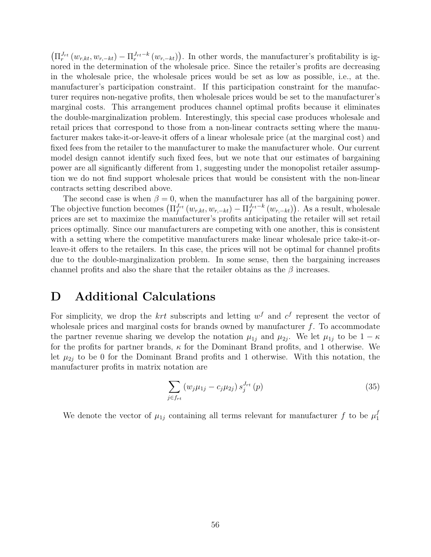$\left(\prod_{r}^{J_{rt}}(w_{r,kt}, w_{r,-kt}) - \prod_{r}^{J_{rt}-k}(w_{r,-kt})\right)$ . In other words, the manufacturer's profitability is ignored in the determination of the wholesale price. Since the retailer's profits are decreasing in the wholesale price, the wholesale prices would be set as low as possible, i.e., at the. manufacturer's participation constraint. If this participation constraint for the manufacturer requires non-negative profits, then wholesale prices would be set to the manufacturer's marginal costs. This arrangement produces channel optimal profits because it eliminates the double-marginalization problem. Interestingly, this special case produces wholesale and retail prices that correspond to those from a non-linear contracts setting where the manufacturer makes take-it-or-leave-it offers of a linear wholesale price (at the marginal cost) and fixed fees from the retailer to the manufacturer to make the manufacturer whole. Our current model design cannot identify such fixed fees, but we note that our estimates of bargaining power are all significantly different from 1, suggesting under the monopolist retailer assumption we do not find support wholesale prices that would be consistent with the non-linear contracts setting described above.

The second case is when  $\beta = 0$ , when the manufacturer has all of the bargaining power. The objective function becomes  $(\prod_{f}^{J_{rt}}(w_{r,kt}, w_{r,-kt}) - \prod_{f}^{J_{rt}-k}(w_{r,-kt}))$ . As a result, wholesale prices are set to maximize the manufacturer's profits anticipating the retailer will set retail prices optimally. Since our manufacturers are competing with one another, this is consistent with a setting where the competitive manufacturers make linear wholesale price take-it-orleave-it offers to the retailers. In this case, the prices will not be optimal for channel profits due to the double-marginalization problem. In some sense, then the bargaining increases channel profits and also the share that the retailer obtains as the  $\beta$  increases.

### D Additional Calculations

For simplicity, we drop the  $krt$  subscripts and letting  $w<sup>f</sup>$  and  $c<sup>f</sup>$  represent the vector of wholesale prices and marginal costs for brands owned by manufacturer  $f$ . To accommodate the partner revenue sharing we develop the notation  $\mu_{1j}$  and  $\mu_{2j}$ . We let  $\mu_{1j}$  to be  $1 - \kappa$ for the profits for partner brands,  $\kappa$  for the Dominant Brand profits, and 1 otherwise. We let  $\mu_{2i}$  to be 0 for the Dominant Brand profits and 1 otherwise. With this notation, the manufacturer profits in matrix notation are

$$
\sum_{j \in f_{rt}} \left( w_j \mu_{1j} - c_j \mu_{2j} \right) s_j^{J_{rt}}(p) \tag{35}
$$

We denote the vector of  $\mu_{1j}$  containing all terms relevant for manufacturer f to be  $\mu_1^f$ 1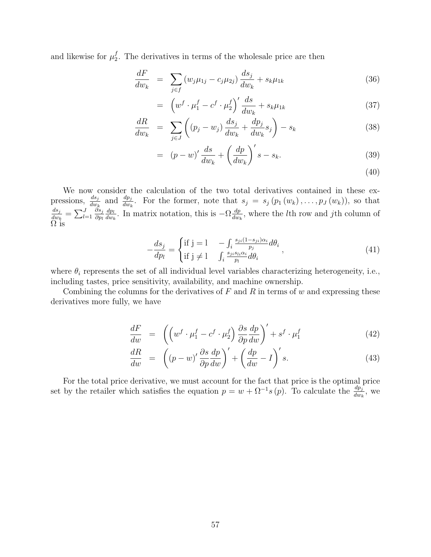and likewise for  $\mu_2^f$  $_2^{\prime}$ . The derivatives in terms of the wholesale price are then

$$
\frac{dF}{dw_k} = \sum_{j \in f} (w_j \mu_{1j} - c_j \mu_{2j}) \frac{ds_j}{dw_k} + s_k \mu_{1k} \tag{36}
$$

$$
= \left(w^f \cdot \mu_1^f - c^f \cdot \mu_2^f\right)' \frac{ds}{dw_k} + s_k \mu_{1k} \tag{37}
$$

$$
\frac{dR}{dw_k} = \sum_{j \in J} \left( (p_j - w_j) \frac{ds_j}{dw_k} + \frac{dp_j}{dw_k} s_j \right) - s_k \tag{38}
$$

$$
= (p - w)' \frac{ds}{dw_k} + \left(\frac{dp}{dw_k}\right)'s - s_k. \tag{39}
$$

(40)

We now consider the calculation of the two total derivatives contained in these expressions,  $\frac{ds_j}{dw_k}$  and  $\frac{dp_j}{dw_k}$ . For the former, note that  $s_j = s_j (p_1(w_k), \ldots, p_J(w_k))$ , so that  $ds_j$  $\frac{ds_j}{dw_k} = \sum_{l=1}^J$  $\partial s_j$  $\partial p_l$  $dp_l$  $\frac{dp_l}{dw_k}$ . In matrix notation, this is  $-\Omega \frac{dp_l}{dw_l}$  $\frac{dp}{dw_k}$ , where the *l*<sup>th</sup> row and *j*<sup>th</sup> column of  $\Omega$  is

$$
-\frac{ds_j}{dp_l} = \begin{cases} \text{if } j = l & -\int_i \frac{s_{ji}(1-s_{ji})\alpha_i}{p_j} d\theta_i \\ \text{if } j \neq l & \int_i \frac{s_{ji}s_{li}\alpha_i}{p_l} d\theta_i \end{cases}, \tag{41}
$$

where  $\theta_i$  represents the set of all individual level variables characterizing heterogeneity, i.e., including tastes, price sensitivity, availability, and machine ownership.

Combining the columns for the derivatives of  $F$  and  $R$  in terms of  $w$  and expressing these derivatives more fully, we have

$$
\frac{dF}{dw} = \left( \left( w^f \cdot \mu_1^f - c^f \cdot \mu_2^f \right) \frac{\partial s}{\partial p} \frac{dp}{dw} \right)' + s^f \cdot \mu_1^f \tag{42}
$$

$$
\frac{dR}{dw} = \left( (p - w)' \frac{\partial s}{\partial p} \frac{dp}{dw} \right)' + \left( \frac{dp}{dw} - I \right)' s.
$$
\n(43)

For the total price derivative, we must account for the fact that price is the optimal price set by the retailer which satisfies the equation  $p = w + \Omega^{-1} s(p)$ . To calculate the  $\frac{dp_j}{dw_k}$ , we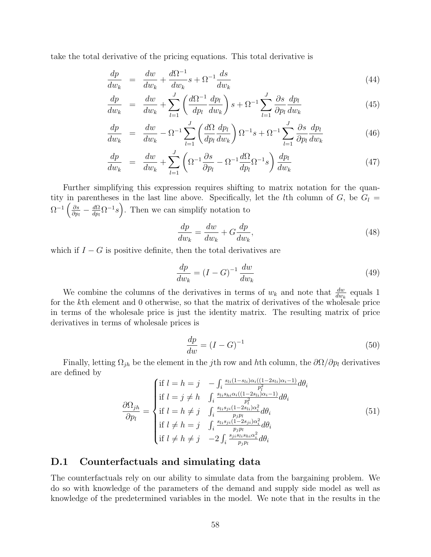take the total derivative of the pricing equations. This total derivative is

$$
\frac{dp}{dw_k} = \frac{dw}{dw_k} + \frac{d\Omega^{-1}}{dw_k}s + \Omega^{-1}\frac{ds}{dw_k}
$$
\n(44)

$$
\frac{dp}{dw_k} = \frac{dw}{dw_k} + \sum_{l=1}^{J} \left( \frac{d\Omega^{-1}}{dp_l} \frac{dp_l}{dw_k} \right) s + \Omega^{-1} \sum_{l=1}^{J} \frac{\partial s}{\partial p_l} \frac{dp_l}{dw_k} \tag{45}
$$

$$
\frac{dp}{dw_k} = \frac{dw}{dw_k} - \Omega^{-1} \sum_{l=1}^J \left(\frac{d\Omega}{dp_l} \frac{dp_l}{dw_k}\right) \Omega^{-1} s + \Omega^{-1} \sum_{l=1}^J \frac{\partial s}{\partial p_l} \frac{dp_l}{dw_k} \tag{46}
$$

$$
\frac{dp}{dw_k} = \frac{dw}{dw_k} + \sum_{l=1}^{J} \left( \Omega^{-1} \frac{\partial s}{\partial p_l} - \Omega^{-1} \frac{d\Omega}{dp_l} \Omega^{-1} s \right) \frac{dp_l}{dw_k}
$$
(47)

Further simplifying this expression requires shifting to matrix notation for the quantity in parentheses in the last line above. Specifically, let the lth column of  $G$ , be  $G_l =$  $\Omega^{-1}\left(\frac{\partial s}{\partial n}\right)$  $\frac{\partial s}{\partial p_l}-\frac{d\Omega}{dp_l}$  $\frac{d\Omega}{dp_i} \Omega^{-1} s$ . Then we can simplify notation to

$$
\frac{dp}{dw_k} = \frac{dw}{dw_k} + G\frac{dp}{dw_k},\tag{48}
$$

which if  $I - G$  is positive definite, then the total derivatives are

$$
\frac{dp}{dw_k} = (I - G)^{-1} \frac{dw}{dw_k} \tag{49}
$$

We combine the columns of the derivatives in terms of  $w_k$  and note that  $\frac{dw}{dw_k}$  equals 1 for the kth element and 0 otherwise, so that the matrix of derivatives of the wholesale price in terms of the wholesale price is just the identity matrix. The resulting matrix of price derivatives in terms of wholesale prices is

$$
\frac{dp}{dw} = (I - G)^{-1} \tag{50}
$$

Finally, letting  $\Omega_{jh}$  be the element in the j<sup>th</sup> row and hth column, the  $\partial\Omega/\partial p_l$  derivatives are defined by

$$
\frac{\partial \Omega_{jh}}{\partial p_l} = \begin{cases} \text{if } l = h = j & -\int_i \frac{s_{li}(1 - s_{li})\alpha_i((1 - 2s_{li})\alpha_i - 1)}{p_l^2} d\theta_i \\ \text{if } l = j \neq h & \int_i \frac{s_{li}s_{hi}\alpha_i((1 - 2s_{li})\alpha_i - 1)}{p_l^2} d\theta_i \\ \text{if } l = h \neq j & \int_i \frac{s_{li}s_{ji}(1 - 2s_{li})\alpha_i^2}{p_j p_l} d\theta_i \\ \text{if } l \neq h = j & \int_i \frac{s_{li}s_{ji}(1 - 2s_{ji})\alpha_i^2}{p_j p_l} d\theta_i \\ \text{if } l \neq h \neq j & -2 \int_i \frac{s_{ji}s_{li}s_{hi}\alpha_i^2}{p_j p_l} d\theta_i \end{cases} \tag{51}
$$

### D.1 Counterfactuals and simulating data

The counterfactuals rely on our ability to simulate data from the bargaining problem. We do so with knowledge of the parameters of the demand and supply side model as well as knowledge of the predetermined variables in the model. We note that in the results in the